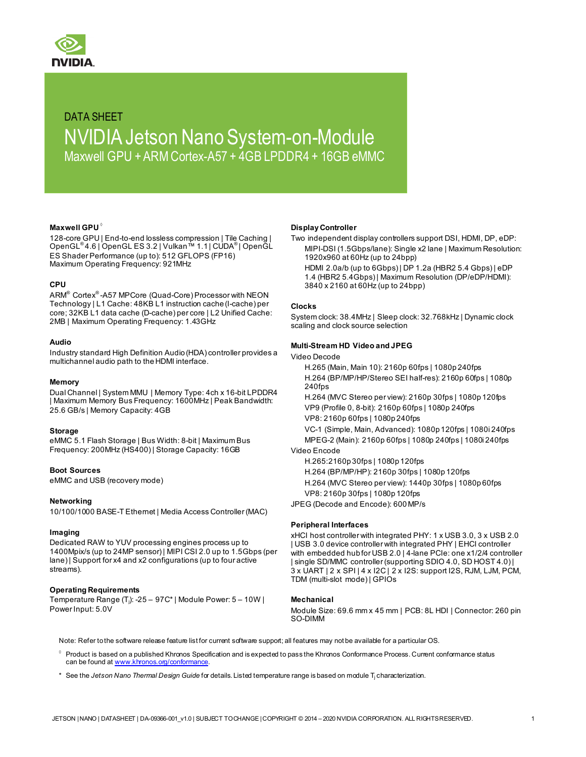

# DATA SHEET NVIDIA Jetson Nano System-on-Module Maxwell GPU + ARM Cortex-A57 + 4GB LPDDR4 + 16GB eMMC

#### **Maxwell GPU** ◊

128-core GPU | End-to-end lossless compression | Tile Caching | OpenGL® 4.6 | OpenGL ES 3.2 | Vulkan™ 1.1 | CUDA® | OpenGL ES Shader Performance (up to): 512 GFLOPS (FP16) Maximum Operating Frequency: 921MHz

#### **CPU**

ARM® Cortex® -A57 MPCore (Quad-Core) Processor with NEON Technology | L1 Cache: 48KB L1 instruction cache (I-cache) per core; 32KB L1 data cache (D-cache) per core | L2 Unified Cache: 2MB | Maximum Operating Frequency: 1.43GHz

#### **Audio**

Industry standard High Definition Audio (HDA) controller provides a multichannel audio path to the HDMI interface.

#### **Memory**

Dual Channel | System MMU | Memory Type: 4ch x 16-bit LPDDR4 | Maximum Memory Bus Frequency: 1600MHz | Peak Bandwidth: 25.6 GB/s | Memory Capacity: 4GB

#### **Storage**

eMMC 5.1 Flash Storage | Bus Width: 8-bit | Maximum Bus Frequency: 200MHz (HS400) | Storage Capacity: 16GB

#### **Boot Sources**

eMMC and USB (recovery mode)

#### **Networking**

10/100/1000 BASE-T Ethernet | Media Access Controller (MAC)

#### **Imaging**

Dedicated RAW to YUV processing engines process up to 1400Mpix/s (up to 24MP sensor) | MIPI CSI 2.0 up to 1.5Gbps (per lane) | Support for x4 and x2 configurations (up to four active streams).

#### **Operating Requirements**

Temperature Range (Tj): -25 – 97C\* | Module Power: 5 – 10W | Power Input: 5.0V

#### **Display Controller**

Two independent display controllers support DSI, HDMI, DP, eDP: MIPI-DSI (1.5Gbps/lane): Single x2 lane | Maximum Resolution: 1920x960 at 60Hz (up to 24bpp)

HDMI 2.0a/b (up to 6Gbps) | DP 1.2a (HBR2 5.4 Gbps) | eDP 1.4 (HBR2 5.4Gbps) | Maximum Resolution (DP/eDP/HDMI): 3840 x 2160 at 60Hz (up to 24bpp)

#### **Clocks**

System clock: 38.4MHz | Sleep clock: 32.768kHz | Dynamic clock scaling and clock source selection

#### **Multi-Stream HD Video and JPEG**

Video Decode

H.265 (Main, Main 10): 2160p 60fps | 1080p 240fps H.264 (BP/MP/HP/Stereo SEI half-res): 2160p 60fps | 1080p 240fps

H.264 (MVC Stereo per view): 2160p 30fps | 1080p 120fps VP9 (Profile 0, 8-bit): 2160p 60fps | 1080p 240fps VP8: 2160p 60fps | 1080p 240fps

VC-1 (Simple, Main, Advanced): 1080p 120fps | 1080i 240fps MPEG-2 (Main): 2160p 60fps | 1080p 240fps | 1080i 240fps Video Encode

H.265:2160p 30fps | 1080p 120fps H.264 (BP/MP/HP): 2160p 30fps | 1080p 120fps

H.264 (MVC Stereo per view): 1440p 30fps | 1080p 60fps VP8: 2160p 30fps | 1080p 120fps

JPEG (Decode and Encode): 600 MP/s

#### **Peripheral Interfaces**

xHCI host controller with integrated PHY: 1 x USB 3.0, 3 x USB 2.0 | USB 3.0 device controller with integrated PHY | EHCI controller with embedded hub for USB 2.0 | 4-lane PCIe: one x1/2/4 controller | single SD/MMC controller (supporting SDIO 4.0, SD HOST 4.0) | 3 x UART | 2 x SPI | 4 x I2C | 2 x I2S: support I2S, RJM, LJM, PCM, TDM (multi-slot mode) | GPIOs

#### **Mechanical**

Module Size: 69.6 mm x 45 mm | PCB: 8L HDI | Connector: 260 pin SO-DIMM

Note: Refer to the software release feature list for current software support; all features may not be available for a particular OS.

- Product is based on a published Khronos Specification and is expected to pass the Khronos Conformance Process. Current conformance status can be found at [www.khronos.org/conformance](http://www.khronos.org/conformance).
- \* See the *Jetson Nano Thermal Design Guide* for details. Listed temperature range is based on module Tj characterization.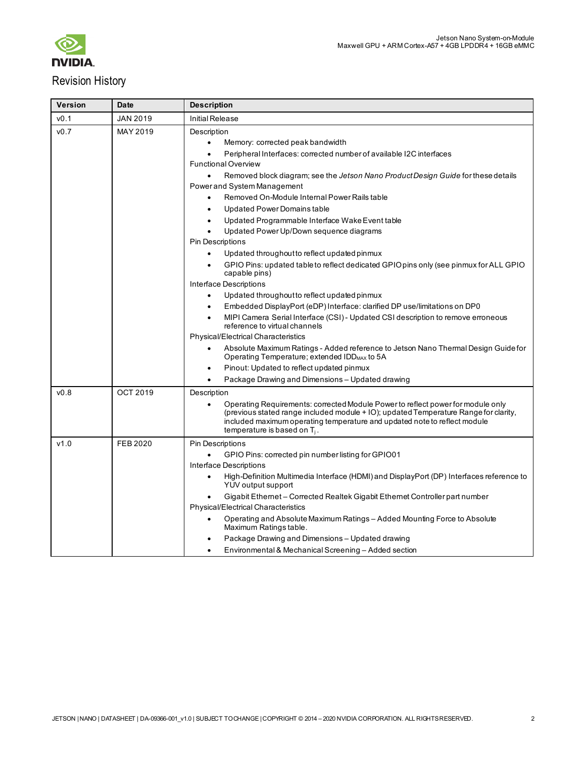

# Revision History

| <b>Version</b> | <b>Date</b>     | <b>Description</b>                                                                                                                                                                                                                                                                                                                                                   |  |  |
|----------------|-----------------|----------------------------------------------------------------------------------------------------------------------------------------------------------------------------------------------------------------------------------------------------------------------------------------------------------------------------------------------------------------------|--|--|
| v0.1           | <b>JAN 2019</b> | <b>Initial Release</b>                                                                                                                                                                                                                                                                                                                                               |  |  |
| v0.7           | MAY 2019        | Description<br>Memory: corrected peak bandwidth<br>$\bullet$<br>Peripheral Interfaces: corrected number of available I2C interfaces<br><b>Functional Overview</b><br>Removed block diagram; see the Jetson Nano Product Design Guide for these details<br>Power and System Management<br>Removed On-Module Internal Power Rails table<br>Updated Power Domains table |  |  |
|                |                 | Updated Programmable Interface Wake Event table<br>$\bullet$<br>Updated Power Up/Down sequence diagrams                                                                                                                                                                                                                                                              |  |  |
|                |                 | Pin Descriptions<br>Updated throughout to reflect updated pinmux<br>GPIO Pins: updated table to reflect dedicated GPIO pins only (see pinmux for ALL GPIO<br>capable pins)                                                                                                                                                                                           |  |  |
|                |                 | Interface Descriptions<br>Updated throughout to reflect updated pinmux<br>Embedded DisplayPort (eDP) Interface: clarified DP use/limitations on DP0<br>$\bullet$<br>MIPI Camera Serial Interface (CSI) - Updated CSI description to remove erroneous<br>reference to virtual channels                                                                                |  |  |
|                |                 | Physical/Electrical Characteristics<br>Absolute Maximum Ratings - Added reference to Jetson Nano Thermal Design Guidefor<br>Operating Temperature; extended IDD <sub>MAX</sub> to 5A                                                                                                                                                                                 |  |  |
|                |                 | Pinout: Updated to reflect updated pinmux<br>$\bullet$<br>Package Drawing and Dimensions - Updated drawing                                                                                                                                                                                                                                                           |  |  |
| v0.8           | OCT 2019        | Description<br>Operating Requirements: corrected Module Power to reflect power for module only<br>(previous stated range included module + IO), updated Temperature Range for clarity,<br>included maximum operating temperature and updated note to reflect module<br>temperature is based on $T_i$ .                                                               |  |  |
| v1.0           | <b>FEB 2020</b> | <b>Pin Descriptions</b><br>GPIO Pins: corrected pin number listing for GPIO01<br>Interface Descriptions                                                                                                                                                                                                                                                              |  |  |
|                |                 | High-Definition Multimedia Interface (HDMI) and DisplayPort (DP) Interfaces reference to<br>YUV output support<br>Gigabit Ethernet - Corrected Realtek Gigabit Ethernet Controller part number<br><b>Physical/Electrical Characteristics</b>                                                                                                                         |  |  |
|                |                 | Operating and Absolute Maximum Ratings - Added Mounting Force to Absolute<br>Maximum Ratings table.<br>Package Drawing and Dimensions - Updated drawing                                                                                                                                                                                                              |  |  |
|                |                 | Environmental & Mechanical Screening - Added section                                                                                                                                                                                                                                                                                                                 |  |  |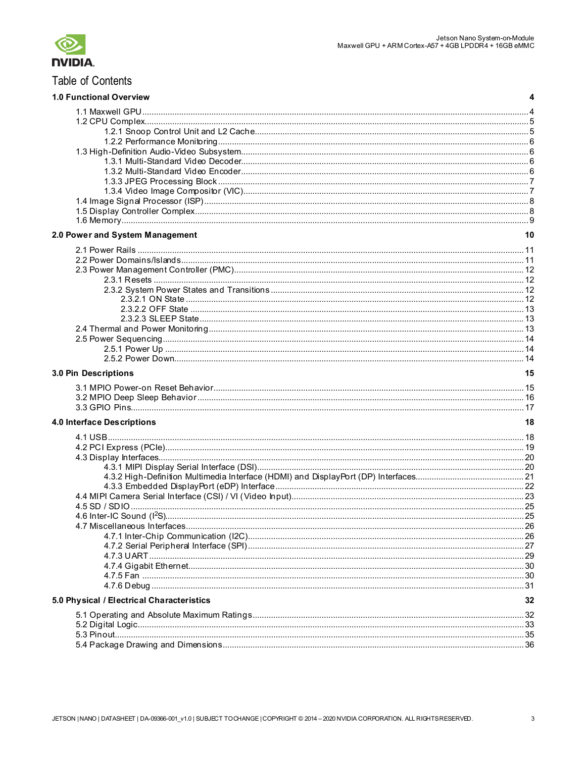

# Table of Contents

| <b>1.0 Functional Overview</b>            | 4  |
|-------------------------------------------|----|
|                                           |    |
|                                           |    |
|                                           |    |
|                                           |    |
|                                           |    |
|                                           |    |
|                                           |    |
|                                           |    |
|                                           |    |
|                                           |    |
|                                           |    |
|                                           |    |
| 2.0 Power and System Management           | 10 |
|                                           |    |
|                                           |    |
|                                           |    |
|                                           |    |
|                                           |    |
|                                           |    |
|                                           |    |
|                                           |    |
|                                           |    |
|                                           |    |
|                                           |    |
|                                           |    |
| 3.0 Pin Descriptions                      | 15 |
|                                           |    |
|                                           |    |
|                                           |    |
|                                           |    |
| 4.0 Interface Descriptions                | 18 |
|                                           |    |
|                                           |    |
|                                           |    |
|                                           |    |
|                                           |    |
|                                           |    |
|                                           |    |
|                                           |    |
|                                           |    |
|                                           |    |
|                                           |    |
|                                           |    |
|                                           |    |
|                                           |    |
|                                           |    |
|                                           |    |
| 5.0 Physical / Electrical Characteristics | 32 |
|                                           |    |
|                                           |    |
|                                           |    |
|                                           |    |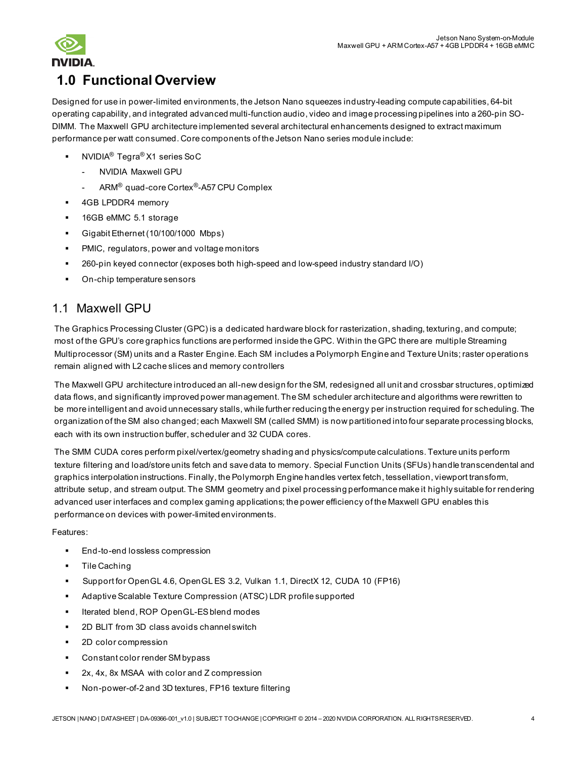

# <span id="page-3-0"></span>**1.0 Functional Overview**

Designed for use in power-limited environments, the Jetson Nano squeezes industry-leading compute capabilities, 64-bit operating capability, and integrated advanced multi-function audio, video and image processing pipelines into a 260-pin SO-DIMM. The Maxwell GPU architecture implemented several architectural enhancements designed to extract maximum performance per watt consumed. Core components of the Jetson Nano series module include:

- NVIDIA® Tegra® X1 series SoC
	- NVIDIA Maxwell GPU
	- ARM® quad-core Cortex®-A57 CPU Complex
- 4GB LPDDR4 memory
- **16GB eMMC 5.1 storage**
- Gigabit Ethernet (10/100/1000 Mbps)
- **PMIC, regulators, power and voltage monitors**
- 260-pin keyed connector (exposes both high-speed and low-speed industry standard I/O)
- On-chip temperature sensors

# <span id="page-3-1"></span>1.1 Maxwell GPU

The Graphics Processing Cluster (GPC) is a dedicated hardware block for rasterization, shading, texturing, and compute; most of the GPU's core graphics functions are performed inside the GPC. Within the GPC there are multiple Streaming Multiprocessor (SM) units and a Raster Engine. Each SM includes a Polymorph Engine and Texture Units; raster operations remain aligned with L2 cache slices and memory controllers

The Maxwell GPU architecture introduced an all-new design for the SM, redesigned all unit and crossbar structures, optimized data flows, and significantly improved power management. The SM scheduler architecture and algorithms were rewritten to be more intelligent and avoid unnecessary stalls, while further reducing the energy per instruction required for scheduling. The organization of the SM also changed; each Maxwell SM (called SMM) is now partitioned into four separate processing blocks, each with its own instruction buffer, scheduler and 32 CUDA cores.

The SMM CUDA cores perform pixel/vertex/geometry shading and physics/compute calculations. Texture units perform texture filtering and load/store units fetch and save data to memory. Special Function Units (SFUs) handle transcendental and graphics interpolation instructions. Finally, the Polymorph Engine handles vertex fetch, tessellation, viewport transform, attribute setup, and stream output. The SMM geometry and pixel processing performance make it highly suitable for rendering advanced user interfaces and complex gaming applications; the power efficiency of the Maxwell GPU enables this performance on devices with power-limited environments.

#### Features:

- End-to-end lossless compression
- Tile Caching
- Support for OpenGL 4.6, OpenGL ES 3.2, Vulkan 1.1, DirectX 12, CUDA 10 (FP16)
- Adaptive Scalable Texture Compression (ATSC) LDR profile supported
- **Iterated blend, ROP OpenGL-ES blend modes**
- 2D BLIT from 3D class avoids channel switch
- 2D color compression
- Constant color render SM bypass
- 2x, 4x, 8x MSAA with color and Z compression
- Non-power-of-2 and 3D textures, FP16 texture filtering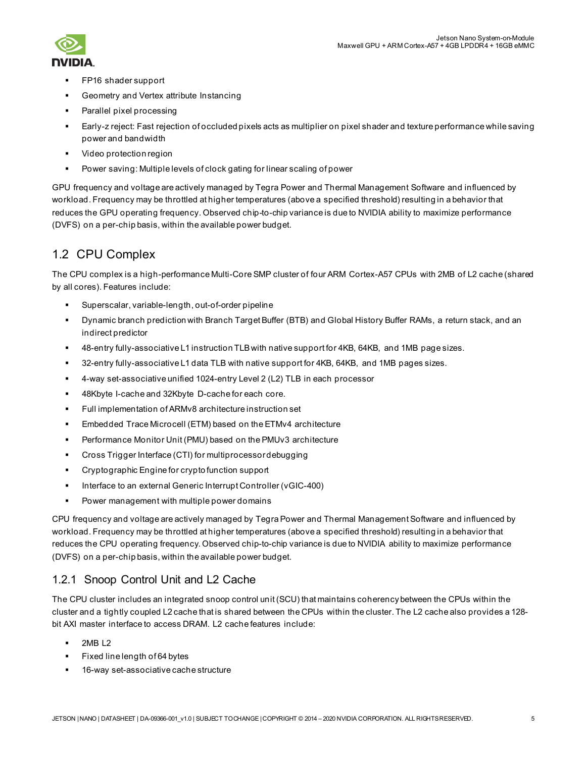

- FP16 shader support
- Geometry and Vertex attribute Instancing
- Parallel pixel processing
- Early-z reject: Fast rejection of occluded pixels acts as multiplier on pixel shader and texture performance while saving power and bandwidth
- Video protection region
- Power saving: Multiple levels of clock gating for linear scaling of power

GPU frequency and voltage are actively managed by Tegra Power and Thermal Management Software and influenced by workload. Frequency may be throttled at higher temperatures (above a specified threshold) resulting in a behavior that reduces the GPU operating frequency. Observed chip-to-chip variance is due to NVIDIA ability to maximize performance (DVFS) on a per-chip basis, within the available power budget.

# <span id="page-4-0"></span>1.2 CPU Complex

The CPU complex is a high-performance Multi-Core SMP cluster of four ARM Cortex-A57 CPUs with 2MB of L2 cache (shared by all cores). Features include:

- Superscalar, variable-length, out-of-order pipeline
- Dynamic branch prediction with Branch Target Buffer (BTB) and Global History Buffer RAMs, a return stack, and an indirect predictor
- 48-entry fully-associative L1 instruction TLB with native support for 4KB, 64KB, and 1MB page sizes.
- 32-entry fully-associative L1 data TLB with native support for 4KB, 64KB, and 1MB pages sizes.
- 4-way set-associative unified 1024-entry Level 2 (L2) TLB in each processor
- 48Kbyte I-cache and 32Kbyte D-cache for each core.
- Full implementation of ARMv8 architecture instruction set
- Embedded Trace Microcell (ETM) based on the ETMv4 architecture
- Performance Monitor Unit (PMU) based on the PMUv3 architecture
- Cross Trigger Interface (CTI) for multiprocessor debugging
- Cryptographic Engine for crypto function support
- Interface to an external Generic Interrupt Controller (vGIC-400)
- **Power management with multiple power domains**

CPU frequency and voltage are actively managed by Tegra Power and Thermal Management Software and influenced by workload. Frequency may be throttled at higher temperatures (above a specified threshold) resulting in a behavior that reduces the CPU operating frequency. Observed chip-to-chip variance is due to NVIDIA ability to maximize performance (DVFS) on a per-chip basis, within the available power budget.

## <span id="page-4-1"></span>1.2.1 Snoop Control Unit and L2 Cache

The CPU cluster includes an integrated snoop control unit (SCU) that maintains coherency between the CPUs within the cluster and a tightly coupled L2 cache that is shared between the CPUs within the cluster. The L2 cache also provides a 128 bit AXI master interface to access DRAM. L2 cache features include:

- 2MB L2
- Fixed line length of 64 bytes
- 16-way set-associative cache structure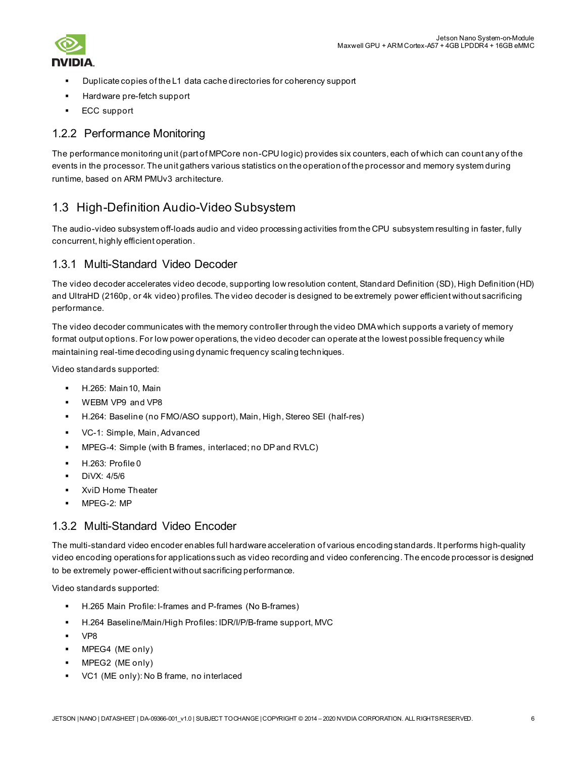

- Duplicate copies of the L1 data cache directories for coherency support
- Hardware pre-fetch support
- ECC support

## <span id="page-5-0"></span>1.2.2 Performance Monitoring

The performance monitoring unit (part of MPCore non-CPU logic) provides six counters, each of which can count any of the events in the processor. The unit gathers various statistics on the operation of the processor and memory system during runtime, based on ARM PMUv3 architecture.

# <span id="page-5-1"></span>1.3 High-Definition Audio-Video Subsystem

The audio-video subsystem off-loads audio and video processing activities from the CPU subsystem resulting in faster, fully concurrent, highly efficient operation.

### <span id="page-5-2"></span>1.3.1 Multi-Standard Video Decoder

The video decoder accelerates video decode, supporting low resolution content, Standard Definition (SD), High Definition (HD) and UltraHD (2160p, or 4k video) profiles. The video decoder is designed to be extremely power efficient without sacrificing performance.

The video decoder communicates with the memory controller through the video DMA which supports a variety of memory format output options. For low power operations, the video decoder can operate at the lowest possible frequency while maintaining real-time decoding using dynamic frequency scaling techniques.

Video standards supported:

- H.265: Main10, Main
- WEBM VP9 and VP8
- H.264: Baseline (no FMO/ASO support), Main, High, Stereo SEI (half-res)
- VC-1: Simple, Main, Advanced
- MPEG-4: Simple (with B frames, interlaced; no DP and RVLC)
- H.263: Profile 0
- DiVX: 4/5/6
- XviD Home Theater
- MPEG-2: MP

## <span id="page-5-3"></span>1.3.2 Multi-Standard Video Encoder

The multi-standard video encoder enables full hardware acceleration of various encoding standards. It performs high-quality video encoding operations for applications such as video recording and video conferencing. The encode processor is designed to be extremely power-efficient without sacrificing performance.

Video standards supported:

- H.265 Main Profile: I-frames and P-frames (No B-frames)
- H.264 Baseline/Main/High Profiles: IDR/I/P/B-frame support, MVC
- VP8
- MPEG4 (ME only)
- **MPEG2** (ME only)
- VC1 (ME only): No B frame, no interlaced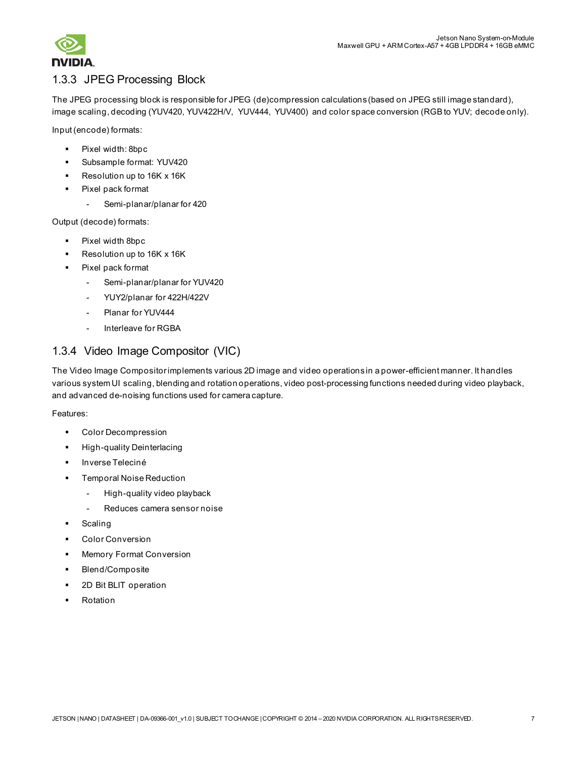

# <span id="page-6-0"></span>1.3.3 JPEG Processing Block

The JPEG processing block is responsible for JPEG (de)compression calculations (based on JPEG still image standard), image scaling, decoding (YUV420, YUV422H/V, YUV444, YUV400) and color space conversion (RGB to YUV; decode only).

Input (encode) formats:

- Pixel width: 8bpc
- Subsample format: YUV420
- Resolution up to 16K x 16K
- Pixel pack format
	- Semi-planar/planar for 420

Output (decode) formats:

- Pixel width 8bpc
- Resolution up to 16K x 16K
- Pixel pack format
	- Semi-planar/planar for YUV420
	- YUY2/planar for 422H/422V
	- Planar for YUV444
	- Interleave for RGBA

# <span id="page-6-1"></span>1.3.4 Video Image Compositor (VIC)

The Video Image Compositor implements various 2D image and video operations in a power-efficient manner. It handles various system UI scaling, blending and rotation operations, video post-processing functions needed during video playback, and advanced de-noising functions used for camera capture.

Features:

- Color Decompression
- High-quality Deinterlacing
- Inverse Teleciné
- Temporal Noise Reduction
	- High-quality video playback
	- Reduces camera sensor noise
- Scaling
- Color Conversion
- Memory Format Conversion
- Blend/Composite
- 2D Bit BLIT operation
- Rotation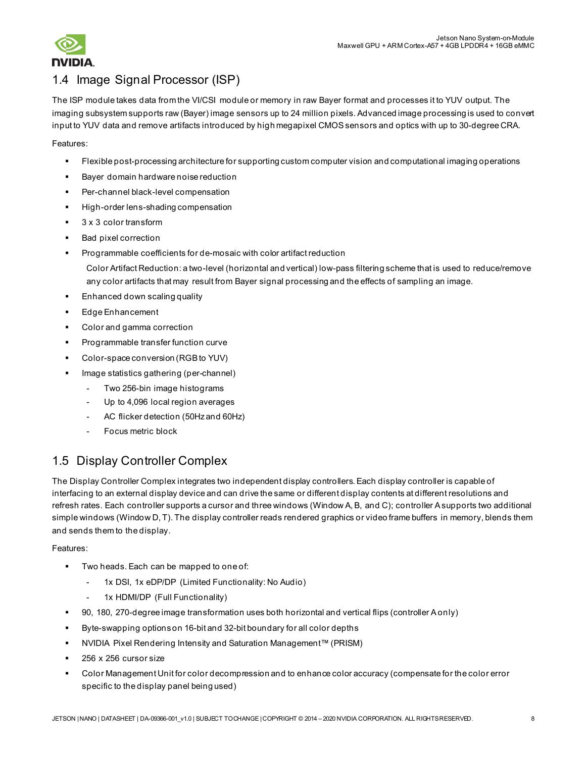

# <span id="page-7-0"></span>1.4 Image Signal Processor (ISP)

The ISP module takes data from the VI/CSI module or memory in raw Bayer format and processes it to YUV output. The imaging subsystem supports raw (Bayer) image sensors up to 24 million pixels. Advanced image processing is used to convert input to YUV data and remove artifacts introduced by high megapixel CMOS sensors and optics with up to 30-degree CRA.

Features:

- Flexible post-processing architecture for supporting custom computer vision and computational imaging operations
- Bayer domain hardware noise reduction
- Per-channel black-level compensation
- High-order lens-shading compensation
- 3 x 3 color transform
- Bad pixel correction
- Programmable coefficients for de-mosaic with color artifact reduction

Color Artifact Reduction: a two-level (horizontal and vertical) low-pass filtering scheme that is used to reduce/remove any color artifacts that may result from Bayer signal processing and the effects of sampling an image.

- Enhanced down scaling quality
- Edge Enhancement
- Color and gamma correction
- Programmable transfer function curve
- Color-space conversion (RGB to YUV)
- Image statistics gathering (per-channel)
	- Two 256-bin image histograms
	- Up to 4,096 local region averages
	- AC flicker detection (50Hz and 60Hz)
	- Focus metric block

# <span id="page-7-1"></span>1.5 Display Controller Complex

The Display Controller Complex integrates two independent display controllers. Each display controller is capable of interfacing to an external display device and can drive the same or different display contents at different resolutions and refresh rates. Each controller supports a cursor and three windows (Window A, B, and C); controller A supports two additional simple windows (Window D, T). The display controller reads rendered graphics or video frame buffers in memory, blends them and sends them to the display.

#### Features:

- Two heads. Each can be mapped to one of:
	- 1x DSI, 1x eDP/DP (Limited Functionality: No Audio)
	- 1x HDMI/DP (Full Functionality)
- 90, 180, 270-degree image transformation uses both horizontal and vertical flips (controller A only)
- Byte-swapping options on 16-bit and 32-bit boundary for all color depths
- NVIDIA Pixel Rendering Intensity and Saturation Management™ (PRISM)
- 256 x 256 cursor size
- Color Management Unit for color decompression and to enhance color accuracy (compensate for the color error specific to the display panel being used)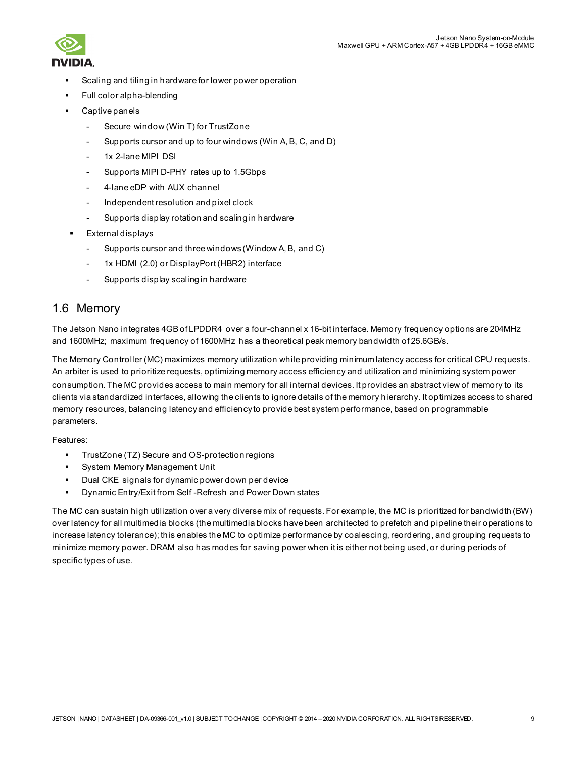

- Scaling and tiling in hardware for lower power operation
- Full color alpha-blending
- Captive panels
	- Secure window (Win T) for TrustZone
	- Supports cursor and up to four windows (Win A, B, C, and D)
	- 1x 2-lane MIPI DSI
	- Supports MIPI D-PHY rates up to 1.5Gbps
	- 4-lane eDP with AUX channel
	- Independent resolution and pixel clock
	- Supports display rotation and scaling in hardware
- External displays
	- Supports cursor and three windows (Window A, B, and C)
	- 1x HDMI (2.0) or DisplayPort (HBR2) interface
	- Supports display scaling in hardware

## <span id="page-8-0"></span>1.6 Memory

The Jetson Nano integrates 4GB of LPDDR4 over a four-channel x 16-bit interface. Memory frequency options are 204MHz and 1600MHz; maximum frequency of 1600MHz has a theoretical peak memory bandwidth of 25.6GB/s.

The Memory Controller (MC) maximizes memory utilization while providing minimum latency access for critical CPU requests. An arbiter is used to prioritize requests, optimizing memory access efficiency and utilization and minimizing system power consumption. The MC provides access to main memory for all internal devices. It provides an abstract view of memory to its clients via standardized interfaces, allowing the clients to ignore details of the memory hierarchy. It optimizes access to shared memory resources, balancing latency and efficiency to provide best system performance, based on programmable parameters.

Features:

- TrustZone (TZ) Secure and OS-protection regions
- System Memory Management Unit
- Dual CKE signals for dynamic power down per device
- Dynamic Entry/Exit from Self -Refresh and Power Down states

The MC can sustain high utilization over a very diverse mix of requests. For example, the MC is prioritized for bandwidth (BW) over latency for all multimedia blocks (the multimedia blocks have been architected to prefetch and pipeline their operations to increase latency tolerance); this enables the MC to optimize performance by coalescing, reordering, and grouping requests to minimize memory power. DRAM also has modes for saving power when it is either not being used, or during periods of specific types of use.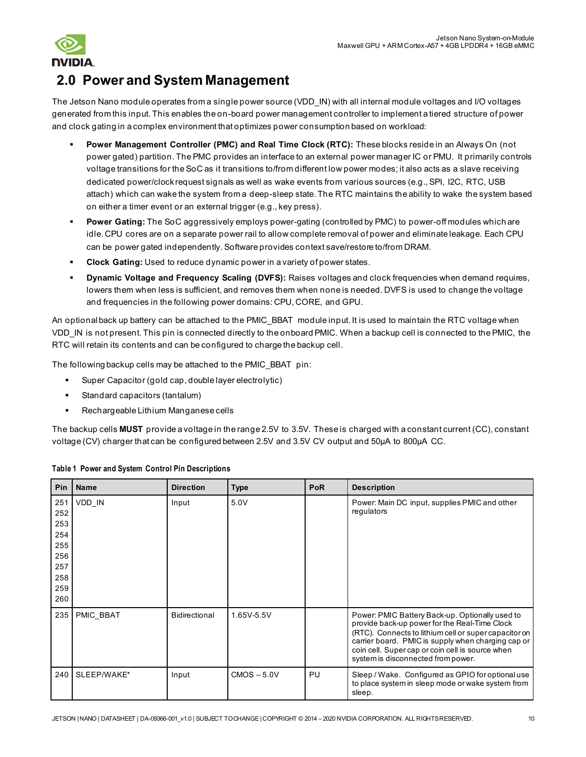

# <span id="page-9-0"></span>**2.0 Power and System Management**

The Jetson Nano module operates from a single power source (VDD IN) with all internal module voltages and I/O voltages generated from this input. This enables the on-board power management controller to implement a tiered structure of power and clock gating in a complex environment that optimizes power consumption based on workload:

- **Power Management Controller (PMC) and Real Time Clock (RTC):** These blocks reside in an Always On (not power gated) partition. The PMC provides an interface to an external power manager IC or PMU. It primarily controls voltage transitions for the SoC as it transitions to/from different low power modes; it also acts as a slave receiving dedicated power/clock request signals as well as wake events from various sources (e.g., SPI, I2C, RTC, USB attach) which can wake the system from a deep-sleep state. The RTC maintains the ability to wake the system based on either a timer event or an external trigger (e.g., key press).
- **Power Gating:** The SoC aggressively employs power-gating (controlled by PMC) to power-off modules which are idle. CPU cores are on a separate power rail to allow complete removal of power and eliminate leakage. Each CPU can be power gated independently. Software provides context save/restore to/from DRAM.
- **Clock Gating:** Used to reduce dynamic power in a variety of power states.
- **Dynamic Voltage and Frequency Scaling (DVFS):** Raises voltages and clock frequencies when demand requires, lowers them when less is sufficient, and removes them when none is needed. DVFS is used to change the voltage and frequencies in the following power domains: CPU, CORE, and GPU.

An optional back up battery can be attached to the PMIC\_BBAT\_module input. It is used to maintain the RTC voltage when VDD\_IN is not present. This pin is connected directly to the onboard PMIC. When a backup cell is connected to the PMIC, the RTC will retain its contents and can be configured to charge the backup cell.

The following backup cells may be attached to the PMIC\_BBAT pin:

- Super Capacitor (gold cap, double layer electrolytic)
- Standard capacitors (tantalum)
- **Rechargeable Lithium Manganese cells**

The backup cells **MUST** provide a voltage in the range 2.5V to 3.5V. These is charged with a constant current (CC), constant voltage (CV) charger that can be configured between 2.5V and 3.5V CV output and 50µA to 800µA CC.

| <b>Pin</b>                                                         | <b>Name</b>      | <b>Direction</b>     | <b>Type</b>   | PoR | <b>Description</b>                                                                                                                                                                                                                                                                                        |
|--------------------------------------------------------------------|------------------|----------------------|---------------|-----|-----------------------------------------------------------------------------------------------------------------------------------------------------------------------------------------------------------------------------------------------------------------------------------------------------------|
| 251<br>252<br>253<br>254<br>255<br>256<br>257<br>258<br>259<br>260 | VDD_IN           | Input                | 5.0V          |     | Power: Main DC input, supplies PMIC and other<br>regulators                                                                                                                                                                                                                                               |
| 235                                                                | <b>PMIC BBAT</b> | <b>Bidirectional</b> | 1.65V-5.5V    |     | Power: PMIC Battery Back-up. Optionally used to<br>provide back-up power for the Real-Time Clock<br>(RTC). Connects to lithium cell or super capacitor on<br>carrier board. PMIC is supply when charging cap or<br>coin cell. Super cap or coin cell is source when<br>system is disconnected from power. |
| 240                                                                | SLEEP/WAKE*      | Input                | $CMOS - 5.0V$ | PU  | Sleep / Wake. Configured as GPIO for optional use<br>to place system in sleep mode or wake system from<br>sleep.                                                                                                                                                                                          |

#### **Table 1 Power and System Control Pin Descriptions**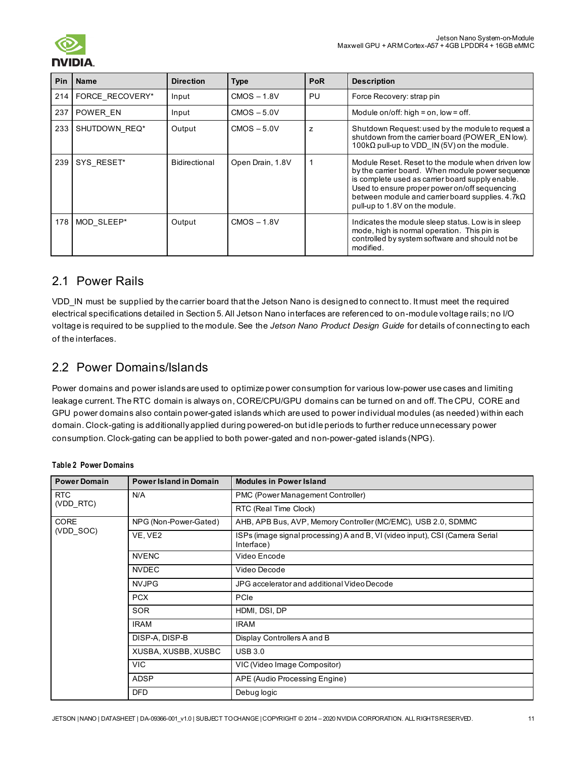

| <b>Pin</b> | <b>Name</b>     | <b>Direction</b> | <b>Type</b>      | <b>PoR</b> | <b>Description</b>                                                                                                                                                                                                                                                                                      |
|------------|-----------------|------------------|------------------|------------|---------------------------------------------------------------------------------------------------------------------------------------------------------------------------------------------------------------------------------------------------------------------------------------------------------|
| 214        | FORCE RECOVERY* | Input            | $CMOS - 1.8V$    | PU         | Force Recovery: strap pin                                                                                                                                                                                                                                                                               |
| 237        | POWER EN        | Input            | $CMOS - 5.0V$    |            | Module on/off: high = on, low = off.                                                                                                                                                                                                                                                                    |
| 233        | SHUTDOWN REQ*   | Output           | $CMOS - 5.0V$    | z          | Shutdown Request: used by the module to request a<br>shutdown from the carrier board (POWER EN low).<br>100 $k\Omega$ pull-up to VDD IN (5V) on the module.                                                                                                                                             |
| 239        | SYS RESET*      | Bidirectional    | Open Drain, 1.8V |            | Module Reset, Reset to the module when driven low<br>by the carrier board. When module power sequence<br>is complete used as carrier board supply enable.<br>Used to ensure proper power on/off sequencing<br>between module and carrier board supplies. $4.7k\Omega$<br>pull-up to 1.8V on the module. |
| 178        | MOD SLEEP*      | Output           | $CMOS - 1.8V$    |            | Indicates the module sleep status. Low is in sleep<br>mode, high is normal operation. This pin is<br>controlled by system software and should not be<br>modified.                                                                                                                                       |

# <span id="page-10-0"></span>2.1 Power Rails

VDD\_IN must be supplied by the carrier board that the Jetson Nano is designed to connect to. It must meet the required electrical specifications detailed in Section 5. All Jetson Nano interfaces are referenced to on-module voltage rails; no I/O voltage is required to be supplied to the module. See the *Jetson Nano Product Design Guide* for details of connecting to each of the interfaces.

# <span id="page-10-1"></span>2.2 Power Domains/Islands

Power domains and power islands are used to optimize power consumption for various low-power use cases and limiting leakage current. The RTC domain is always on, CORE/CPU/GPU domains can be turned on and off. The CPU, CORE and GPU power domains also contain power-gated islands which are used to power individual modules (as needed) within each domain. Clock-gating is additionally applied during powered-on but idle periods to further reduce unnecessary power consumption. Clock-gating can be applied to both power-gated and non-power-gated islands (NPG).

| <b>Power Domain</b> | <b>Power Island in Domain</b> | <b>Modules in Power Island</b>                                                             |  |  |
|---------------------|-------------------------------|--------------------------------------------------------------------------------------------|--|--|
| <b>RTC</b>          | N/A                           | PMC (Power Management Controller)                                                          |  |  |
| (VDD RTC)           |                               | RTC (Real Time Clock)                                                                      |  |  |
| <b>CORE</b>         | NPG (Non-Power-Gated)         | AHB, APB Bus, AVP, Memory Controller (MC/EMC), USB 2.0, SDMMC                              |  |  |
| (VDD SOC)           | VE, VE2                       | ISPs (image signal processing) A and B, VI (video input), CSI (Camera Serial<br>Interface) |  |  |
|                     | <b>NVENC</b>                  | Video Encode                                                                               |  |  |
|                     | <b>NVDEC</b>                  | Video Decode                                                                               |  |  |
|                     | <b>NVJPG</b>                  | JPG accelerator and additional Video Decode                                                |  |  |
|                     | <b>PCX</b>                    | PCIe                                                                                       |  |  |
|                     | <b>SOR</b>                    | HDMI, DSI, DP                                                                              |  |  |
|                     | <b>IRAM</b>                   | <b>IRAM</b>                                                                                |  |  |
|                     | DISP-A, DISP-B                | Display Controllers A and B                                                                |  |  |
|                     | XUSBA, XUSBB, XUSBC           | <b>USB 3.0</b>                                                                             |  |  |
|                     | <b>VIC</b>                    | VIC (Video Image Compositor)                                                               |  |  |
|                     | <b>ADSP</b>                   | APE (Audio Processing Engine)                                                              |  |  |
|                     | <b>DFD</b>                    | Debug logic                                                                                |  |  |

#### **Table 2 Power Domains**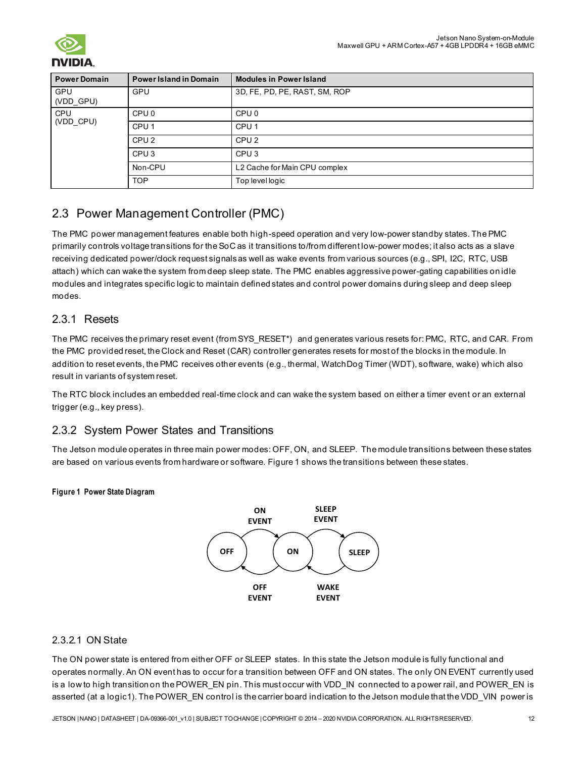

| <b>Power Domain</b> | <b>Power Island in Domain</b> | <b>Modules in Power Island</b> |  |
|---------------------|-------------------------------|--------------------------------|--|
| GPU<br>(VDD_GPU)    | GPU                           | 3D, FE, PD, PE, RAST, SM, ROP  |  |
| <b>CPU</b>          | CPU <sub>0</sub>              | CPU <sub>0</sub>               |  |
| (VDD CPU)           | CPU <sub>1</sub>              | CPU <sub>1</sub>               |  |
|                     | CPU <sub>2</sub>              | CPU <sub>2</sub>               |  |
|                     | CPU <sub>3</sub>              | CPU <sub>3</sub>               |  |
|                     | Non-CPU                       | L2 Cache for Main CPU complex  |  |
|                     | <b>TOP</b>                    | Top level logic                |  |

# <span id="page-11-0"></span>2.3 Power Management Controller (PMC)

The PMC power management features enable both high-speed operation and very low-power standby states. The PMC primarily controls voltage transitions for the SoC as it transitions to/from different low-power modes; it also acts as a slave receiving dedicated power/clock request signals as well as wake events from various sources (e.g., SPI, I2C, RTC, USB attach) which can wake the system from deep sleep state. The PMC enables aggressive power-gating capabilities on idle modules and integrates specific logic to maintain defined states and control power domains during sleep and deep sleep modes.

# <span id="page-11-1"></span>2.3.1 Resets

The PMC receives the primary reset event (from SYS\_RESET\*) and generates various resets for: PMC, RTC, and CAR. From the PMC provided reset, the Clock and Reset (CAR) controller generates resets for most of the blocks in the module. In addition to reset events, the PMC receives other events (e.g., thermal, WatchDog Timer (WDT), software, wake) which also result in variants of system reset.

The RTC block includes an embedded real-time clock and can wake the system based on either a timer event or an external trigger (e.g., key press).

# <span id="page-11-2"></span>2.3.2 System Power States and Transitions

The Jetson module operates in three main power modes: OFF, ON, and SLEEP. The module transitions between these states are based on various events from hardware or software[. Figure 1](#page-11-4) shows the transitions between these states.

### <span id="page-11-4"></span>**Figure 1 Power State Diagram**



### <span id="page-11-3"></span>2.3.2.1 ON State

The ON power state is entered from either OFF or SLEEP states. In this state the Jetson module is fully functional and operates normally. An ON event has to occur for a transition between OFF and ON states. The only ON EVENT currently used is a low to high transition on the POWER\_EN pin. This must occur with VDD\_IN connected to a power rail, and POWER\_EN is asserted (at a logic1). The POWER EN control is the carrier board indication to the Jetson module that the VDD\_VIN power is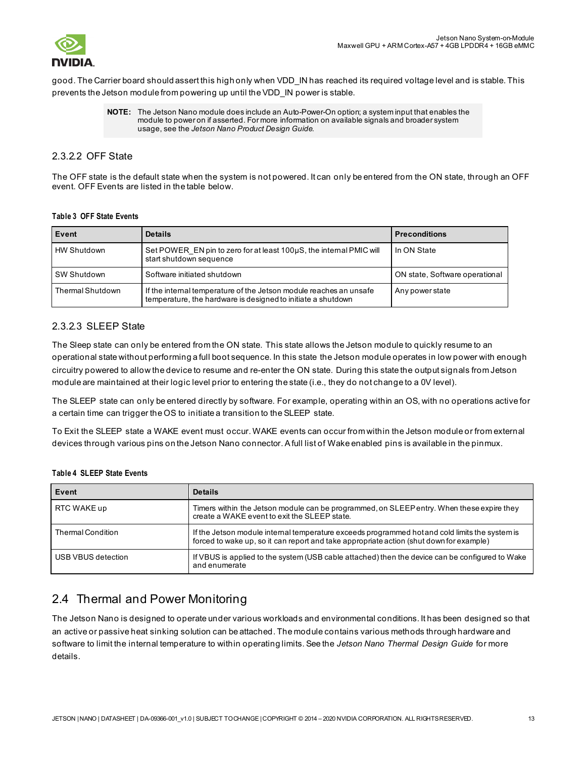

good. The Carrier board should assert this high only when VDD\_IN has reached its required voltage level and is stable. This prevents the Jetson module from powering up until the VDD\_IN power is stable.

#### <span id="page-12-0"></span>2.3.2.2 OFF State

The OFF state is the default state when the system is not powered. It can only be entered from the ON state, through an OFF event. OFF Events are listed in the table below.

#### **Table 3 OFF State Events**

| Event              | <b>Details</b>                                                                                                                     | <b>Preconditions</b>           |
|--------------------|------------------------------------------------------------------------------------------------------------------------------------|--------------------------------|
| <b>HW Shutdown</b> | Set POWER EN pin to zero for at least 100µS, the internal PMIC will<br>start shutdown sequence                                     | In ON State                    |
| SW Shutdown        | Software initiated shutdown                                                                                                        | ON state, Software operational |
| Thermal Shutdown   | If the internal temperature of the Jetson module reaches an unsafe<br>temperature, the hardware is designed to initiate a shutdown | Any power state                |

#### <span id="page-12-1"></span>2.3.2.3 SLEEP State

The Sleep state can only be entered from the ON state. This state allows the Jetson module to quickly resume to an operational state without performing a full boot sequence. In this state the Jetson module operates in low power with enough circuitry powered to allow the device to resume and re-enter the ON state. During this state the output signals from Jetson module are maintained at their logic level prior to entering the state (i.e., they do not change to a 0V level).

The SLEEP state can only be entered directly by software. For example, operating within an OS, with no operations active for a certain time can trigger the OS to initiate a transition to the SLEEP state.

To Exit the SLEEP state a WAKE event must occur. WAKE events can occur from within the Jetson module or from external devices through various pins on the Jetson Nano connector. A full list of Wake enabled pins is available in the pinmux.

| Event                    | <b>Details</b>                                                                                                                                                                            |
|--------------------------|-------------------------------------------------------------------------------------------------------------------------------------------------------------------------------------------|
| RTC WAKE up              | Timers within the Jetson module can be programmed, on SLEEP entry. When these expire they<br>create a WAKE event to exit the SLEEP state.                                                 |
| <b>Thermal Condition</b> | If the Jetson module internal temperature exceeds programmed hot and cold limits the system is<br>forced to wake up, so it can report and take appropriate action (shut down for example) |
| USB VBUS detection       | If VBUS is applied to the system (USB cable attached) then the device can be configured to Wake<br>and enumerate                                                                          |

#### **Table 4 SLEEP State Events**

# <span id="page-12-2"></span>2.4 Thermal and Power Monitoring

The Jetson Nano is designed to operate under various workloads and environmental conditions. It has been designed so that an active or passive heat sinking solution can be attached. The module contains various methods through hardware and software to limit the internal temperature to within operating limits. See the *Jetson Nano Thermal Design Guide* for more details.

**NOTE:** The Jetson Nano module does include an Auto-Power-On option; a system input that enables the module to power on if asserted. For more information on available signals and broader system usage, see the *Jetson Nano Product Design Guide.*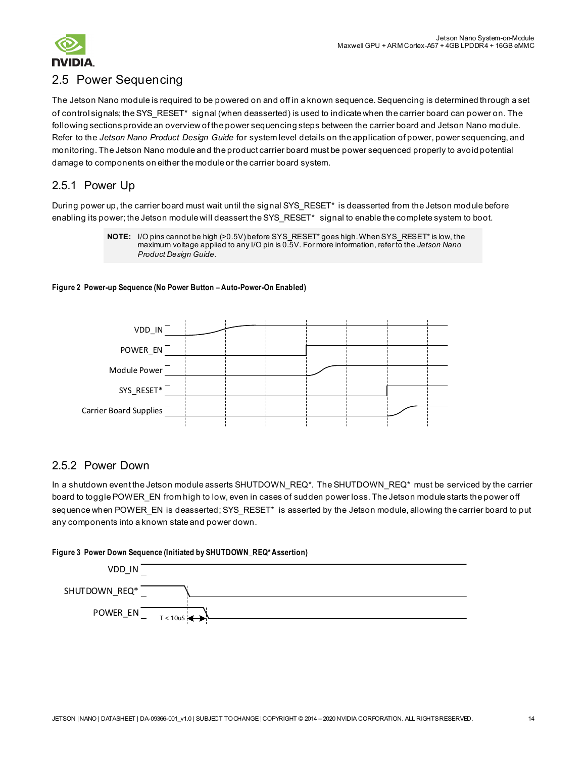

# <span id="page-13-0"></span>2.5 Power Sequencing

The Jetson Nano module is required to be powered on and off in a known sequence. Sequencing is determined through a set of control signals; the SYS\_RESET\* signal (when deasserted) is used to indicate when the carrier board can power on. The following sections provide an overview of the power sequencing steps between the carrier board and Jetson Nano module. Refer to the *Jetson Nano Product Design Guide* for system level details on the application of power, power sequencing, and monitoring. The Jetson Nano module and the product carrier board must be power sequenced properly to avoid potential damage to components on either the module or the carrier board system.

### <span id="page-13-1"></span>2.5.1 Power Up

During power up, the carrier board must wait until the signal SYS\_RESET\* is deasserted from the Jetson module before enabling its power; the Jetson module will deassert the SYS RESET\* signal to enable the complete system to boot.

> **NOTE:** I/O pins cannot be high (>0.5V) before SYS\_RESET\* goes high. When SYS\_RESET\* is low, the maximum voltage applied to any I/O pin is 0.5V. For more information, refer to the *Jetson Nano Product Design Guide*.

#### **Figure 2 Power-up Sequence (No Power Button – Auto-Power-On Enabled)**



### <span id="page-13-2"></span>2.5.2 Power Down

In a shutdown event the Jetson module asserts SHUTDOWN\_REQ\*. The SHUTDOWN\_REQ\* must be serviced by the carrier board to toggle POWER\_EN from high to low, even in cases of sudden power loss. The Jetson module starts the power off sequence when POWER\_EN is deasserted; SYS\_RESET\* is asserted by the Jetson module, allowing the carrier board to put any components into a known state and power down.

#### **Figure 3 Power Down Sequence (Initiated by SHUTDOWN\_REQ\* Assertion)**

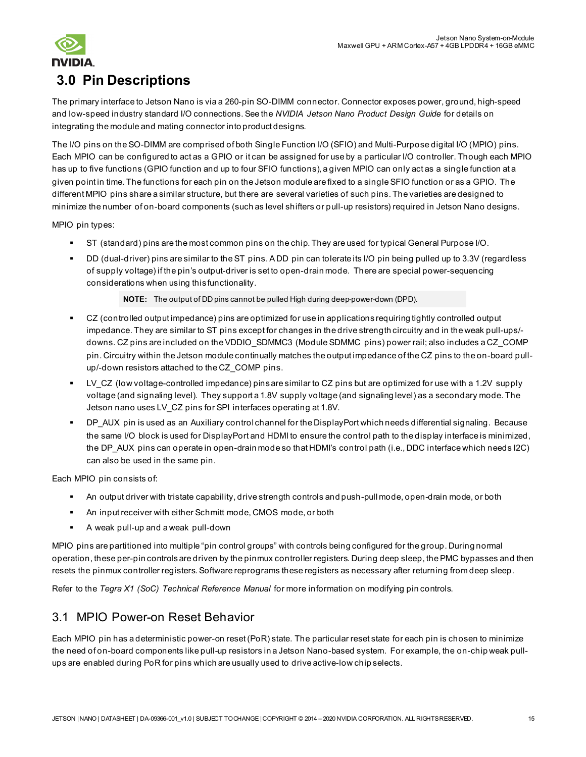

# <span id="page-14-0"></span>**3.0 Pin Descriptions**

The primary interface to Jetson Nano is via a 260-pin SO-DIMM connector. Connector exposes power, ground, high-speed and low-speed industry standard I/O connections. See the *NVIDIA Jetson Nano Product Design Guide* for details on integrating the module and mating connector into product designs.

The I/O pins on the SO-DIMM are comprised of both Single Function I/O (SFIO) and Multi-Purpose digital I/O (MPIO) pins. Each MPIO can be configured to act as a GPIO or it can be assigned for use by a particular I/O controller. Though each MPIO has up to five functions (GPIO function and up to four SFIO functions), a given MPIO can only act as a single function at a given point in time. The functions for each pin on the Jetson module are fixed to a single SFIO function or as a GPIO. The different MPIO pins share a similar structure, but there are several varieties of such pins. The varieties are designed to minimize the number of on-board components (such as level shifters or pull-up resistors) required in Jetson Nano designs.

MPIO pin types:

- ST (standard) pins are the most common pins on the chip. They are used for typical General Purpose I/O.
- DD (dual-driver) pins are similar to the ST pins. A DD pin can tolerate its I/O pin being pulled up to 3.3V (regardless of supply voltage) if the pin's output-driver is set to open-drain mode. There are special power-sequencing considerations when using this functionality.

#### **NOTE:** The output of DD pins cannot be pulled High during deep-power-down (DPD).

- CZ (controlled output impedance) pins are optimized for use in applications requiring tightly controlled output impedance. They are similar to ST pins except for changes in the drive strength circuitry and in the weak pull-ups/ downs. CZ pins are included on the VDDIO\_SDMMC3 (Module SDMMC pins) power rail; also includes a CZ\_COMP pin. Circuitry within the Jetson module continually matches the output impedance of the CZ pins to the on-board pullup/-down resistors attached to the CZ\_COMP pins.
- LV CZ (low voltage-controlled impedance) pins are similar to CZ pins but are optimized for use with a 1.2V supply voltage (and signaling level). They support a 1.8V supply voltage (and signaling level) as a secondary mode. The Jetson nano uses LV\_CZ pins for SPI interfaces operating at 1.8V.
- DP\_AUX pin is used as an Auxiliary control channel for the DisplayPort which needs differential signaling. Because the same I/O block is used for DisplayPort and HDMI to ensure the control path to the display interface is minimized, the DP\_AUX pins can operate in open-drain mode so that HDMI's control path (i.e., DDC interface which needs I2C) can also be used in the same pin.

Each MPIO pin consists of:

- An output driver with tristate capability, drive strength controls and push-pull mode, open-drain mode, or both
- An input receiver with either Schmitt mode, CMOS mode, or both
- A weak pull-up and a weak pull-down

MPIO pins are partitioned into multiple "pin control groups" with controls being configured for the group. During normal operation, these per-pin controls are driven by the pinmux controller registers. During deep sleep, the PMC bypasses and then resets the pinmux controller registers. Software reprograms these registers as necessary after returning from deep sleep.

Refer to the *Tegra X1 (SoC) Technical Reference Manual* for more information on modifying pin controls.

# <span id="page-14-1"></span>3.1 MPIO Power-on Reset Behavior

Each MPIO pin has a deterministic power-on reset (PoR) state. The particular reset state for each pin is chosen to minimize the need of on-board components like pull-up resistors in a Jetson Nano-based system. For example, the on-chip weak pullups are enabled during PoR for pins which are usually used to drive active-low chip selects.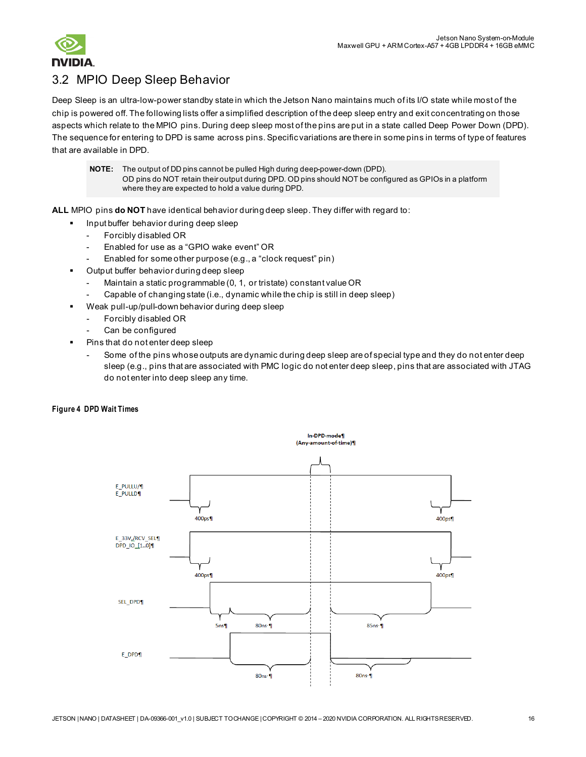

# <span id="page-15-0"></span>3.2 MPIO Deep Sleep Behavior

Deep Sleep is an ultra-low-power standby state in which the Jetson Nano maintains much of its I/O state while most of the chip is powered off. The following lists offer a simplified description of the deep sleep entry and exit concentrating on those aspects which relate to the MPIO pins. During deep sleep most of the pins are put in a state called Deep Power Down (DPD). The sequence for entering to DPD is same across pins. Specific variations are there in some pins in terms of type of features that are available in DPD.

**NOTE:** The output of DD pins cannot be pulled High during deep-power-down (DPD). OD pins do NOT retain their output during DPD. OD pins should NOT be configured as GPIOs in a platform where they are expected to hold a value during DPD.

**ALL** MPIO pins **do NOT** have identical behavior during deep sleep. They differ with regard to:

- Input buffer behavior during deep sleep
	- Forcibly disabled OR
	- Enabled for use as a "GPIO wake event" OR
	- Enabled for some other purpose (e.g., a "clock request" pin)
- Output buffer behavior during deep sleep
	- Maintain a static programmable (0, 1, or tristate) constant value OR
	- Capable of changing state (i.e., dynamic while the chip is still in deep sleep)
- Weak pull-up/pull-down behavior during deep sleep
	- Forcibly disabled OR
	- Can be configured
- Pins that do not enter deep sleep
	- Some of the pins whose outputs are dynamic during deep sleep are of special type and they do not enter deep sleep (e.g., pins that are associated with PMC logic do not enter deep sleep, pins that are associated with JTAG do not enter into deep sleep any time.

#### **Figure 4 DPD Wait Times**

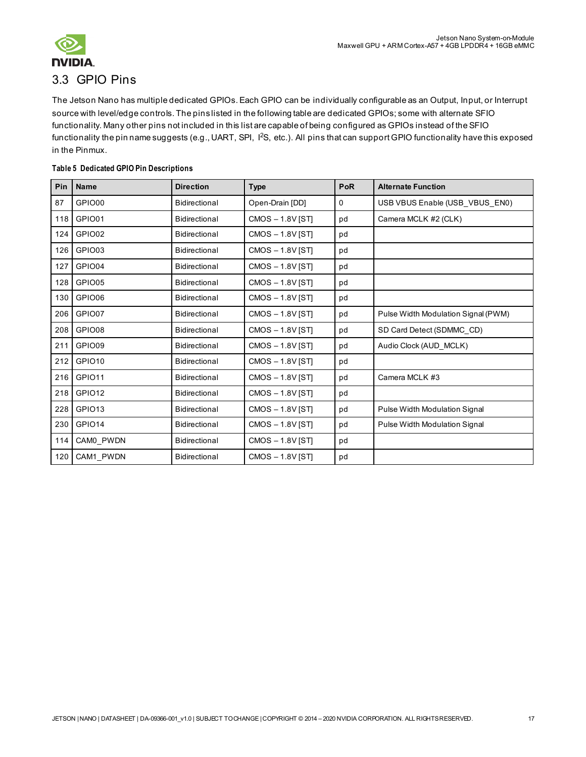

# <span id="page-16-0"></span>3.3 GPIO Pins

The Jetson Nano has multiple dedicated GPIOs. Each GPIO can be individually configurable as an Output, Input, or Interrupt source with level/edge controls. The pins listed in the following table are dedicated GPIOs; some with alternate SFIO functionality. Many other pins not included in this list are capable of being configured as GPIOs instead of the SFIO functionality the pin name suggests (e.g., UART, SPI, 1<sup>2</sup>S, etc.). All pins that can support GPIO functionality have this exposed in the Pinmux.

#### **Table 5 Dedicated GPIO Pin Descriptions**

| Pin | <b>Name</b>        | <b>Direction</b>     | <b>Type</b>        | PoR         | <b>Alternate Function</b>           |
|-----|--------------------|----------------------|--------------------|-------------|-------------------------------------|
| 87  | GPIO00             | Bidirectional        | Open-Drain [DD]    | $\mathbf 0$ | USB VBUS Enable (USB_VBUS_EN0)      |
| 118 | GPIO01             | <b>Bidirectional</b> | $CMOS - 1.8V$ [ST] | pd          | Camera MCLK #2 (CLK)                |
| 124 | GPIO02             | <b>Bidirectional</b> | CMOS-1.8V [ST]     | pd          |                                     |
| 126 | GPIO03             | <b>Bidirectional</b> | CMOS-1.8V [ST]     | pd          |                                     |
| 127 | GPIO04             | <b>Bidirectional</b> | $CMOS - 1.8V$ [ST] | pd          |                                     |
| 128 | GPIO05             | Bidirectional        | $CMOS - 1.8V$ [ST] | pd          |                                     |
| 130 | GPIO06             | Bidirectional        | $CMOS - 1.8V$ [ST] | pd          |                                     |
| 206 | GPIO07             | <b>Bidirectional</b> | $CMOS - 1.8V$ [ST] | pd          | Pulse Width Modulation Signal (PWM) |
| 208 | GPIO08             | <b>Bidirectional</b> | $CMOS - 1.8V$ [ST] | pd          | SD Card Detect (SDMMC CD)           |
| 211 | GPIO09             | Bidirectional        | $CMOS - 1.8V$ [ST] | pd          | Audio Clock (AUD MCLK)              |
| 212 | GPIO <sub>10</sub> | <b>Bidirectional</b> | $CMOS - 1.8V$ [ST] | pd          |                                     |
| 216 | GPIO11             | <b>Bidirectional</b> | $CMOS - 1.8V$ [ST] | pd          | Camera MCLK #3                      |
| 218 | GPIO12             | <b>Bidirectional</b> | $CMOS - 1.8V$ [ST] | pd          |                                     |
| 228 | GPIO <sub>13</sub> | <b>Bidirectional</b> | $CMOS - 1.8V$ [ST] | pd          | Pulse Width Modulation Signal       |
| 230 | GPIO <sub>14</sub> | <b>Bidirectional</b> | $CMOS - 1.8V$ [ST] | pd          | Pulse Width Modulation Signal       |
| 114 | CAM0_PWDN          | <b>Bidirectional</b> | CMOS-1.8V [ST]     | pd          |                                     |
| 120 | CAM1_PWDN          | <b>Bidirectional</b> | $CMOS - 1.8V$ [ST] | pd          |                                     |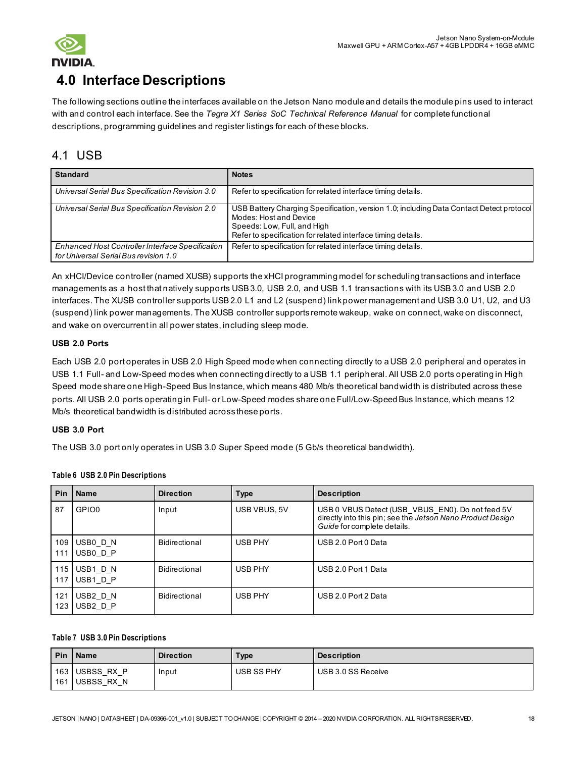

# <span id="page-17-0"></span>**4.0 Interface Descriptions**

The following sections outline the interfaces available on the Jetson Nano module and details the module pins used to interact with and control each interface. See the *Tegra X1 Series SoC Technical Reference Manual* for complete functional descriptions, programming guidelines and register listings for each of these blocks.

# <span id="page-17-1"></span>4.1 USB

| <b>Standard</b>                                                                           | <b>Notes</b>                                                                                                                                                                                                     |
|-------------------------------------------------------------------------------------------|------------------------------------------------------------------------------------------------------------------------------------------------------------------------------------------------------------------|
| Universal Serial Bus Specification Revision 3.0                                           | Refer to specification for related interface timing details.                                                                                                                                                     |
| Universal Serial Bus Specification Revision 2.0                                           | USB Battery Charging Specification, version 1.0; including Data Contact Detect protocol<br>Modes: Host and Device<br>Speeds: Low, Full, and High<br>Refer to specification for related interface timing details. |
| Enhanced Host Controller Interface Specification<br>for Universal Serial Bus revision 1.0 | Refer to specification for related interface timing details.                                                                                                                                                     |

An xHCI/Device controller (named XUSB) supports the xHCI programming model for scheduling transactions and interface managements as a host that natively supports USB 3.0, USB 2.0, and USB 1.1 transactions with its USB 3.0 and USB 2.0 interfaces. The XUSB controller supports USB 2.0 L1 and L2 (suspend) link power management and USB 3.0 U1, U2, and U3 (suspend) link power managements. The XUSB controller supports remote wakeup, wake on connect, wake on disconnect, and wake on overcurrent in all power states, including sleep mode.

#### **USB 2.0 Ports**

Each USB 2.0 port operates in USB 2.0 High Speed mode when connecting directly to a USB 2.0 peripheral and operates in USB 1.1 Full- and Low-Speed modes when connecting directly to a USB 1.1 peripheral. All USB 2.0 ports operating in High Speed mode share one High-Speed Bus Instance, which means 480 Mb/s theoretical bandwidth is distributed across these ports. All USB 2.0 ports operating in Full- or Low-Speed modes share one Full/Low-Speed Bus Instance, which means 12 Mb/s theoretical bandwidth is distributed across these ports.

#### **USB 3.0 Port**

The USB 3.0 port only operates in USB 3.0 Super Speed mode (5 Gb/s theoretical bandwidth).

#### **Table 6 USB 2.0 Pin Descriptions**

| Pin        | <b>Name</b>                      | <b>Direction</b>     | Type           | <b>Description</b>                                                                                                                            |
|------------|----------------------------------|----------------------|----------------|-----------------------------------------------------------------------------------------------------------------------------------------------|
| 87         | GPIO0                            | Input                | USB VBUS, 5V   | USB 0 VBUS Detect (USB_VBUS_EN0). Do not feed 5V<br>directly into this pin; see the Jetson Nano Product Design<br>Guide for complete details. |
| 109<br>111 | USB0 D N<br>USB0 D P             | <b>Bidirectional</b> | USB PHY        | USB 2.0 Port 0 Data                                                                                                                           |
| 115<br>117 | USB1 D N<br>USB1 D P             | Bidirectional        | <b>USB PHY</b> | USB 2.0 Port 1 Data                                                                                                                           |
| 121<br>123 | USB2 D N<br>USB <sub>2</sub> D P | Bidirectional        | USB PHY        | USB 2.0 Port 2 Data                                                                                                                           |

#### **Table 7 USB 3.0 Pin Descriptions**

| Pin | <b>Name</b>                      | <b>Direction</b> | Type       | <b>Description</b> |
|-----|----------------------------------|------------------|------------|--------------------|
|     | 163 USBSS RX P<br>161 USBSS RX N | Input            | USB SS PHY | USB 3.0 SS Receive |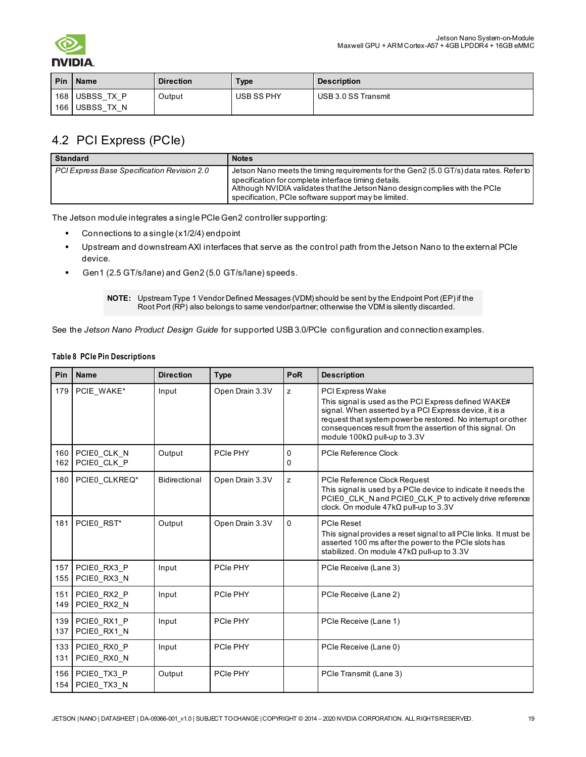

| <b>Pin</b> | I Name                           | <b>Direction</b> | <b>Type</b> | <b>Description</b>  |
|------------|----------------------------------|------------------|-------------|---------------------|
|            | 168 USBSS TX P<br>166 USBSS TX N | Output           | USB SS PHY  | USB 3.0 SS Transmit |

# <span id="page-18-0"></span>4.2 PCI Express (PCIe)

| <b>Standard</b>                             | <b>Notes</b>                                                                                                                                                                                                                                                                           |
|---------------------------------------------|----------------------------------------------------------------------------------------------------------------------------------------------------------------------------------------------------------------------------------------------------------------------------------------|
| PCI Express Base Specification Revision 2.0 | Jetson Nano meets the timing requirements for the Gen2 (5.0 GT/s) data rates. Refer to<br>specification for complete interface timing details.<br>Although NVIDIA validates that the Jetson Nano design complies with the PCIe<br>specification, PCIe software support may be limited. |

The Jetson module integrates a single PCIe Gen2 controller supporting:

- **Connections to a single (x1/2/4) endpoint**
- Upstream and downstream AXI interfaces that serve as the control path from the Jetson Nano to the external PCIe device.
- Gen1 (2.5 GT/s/lane) and Gen2 (5.0 GT/s/lane) speeds.

**NOTE:** Upstream Type 1 Vendor Defined Messages (VDM) should be sent by the Endpoint Port (EP) if the Root Port (RP) also belongs to same vendor/partner; otherwise the VDM is silently discarded.

See the *Jetson Nano Product Design Guide* for supported USB 3.0/PCIe configuration and connection examples.

| Pin        | <b>Name</b>                | <b>Direction</b> | <b>Type</b>     | PoR      | <b>Description</b>                                                                                                                                                                                                                                                                                     |
|------------|----------------------------|------------------|-----------------|----------|--------------------------------------------------------------------------------------------------------------------------------------------------------------------------------------------------------------------------------------------------------------------------------------------------------|
| 179        | PCIE WAKE*                 | Input            | Open Drain 3.3V | z        | PCI Express Wake<br>This signal is used as the PCI Express defined WAKE#<br>signal. When asserted by a PCI Express device, it is a<br>request that system power be restored. No interrupt or other<br>consequences result from the assertion of this signal. On<br>module $100k\Omega$ pull-up to 3.3V |
| 160<br>162 | PCIE0_CLK_N<br>PCIE0 CLK P | Output           | PCIe PHY        | 0<br>0   | PCIe Reference Clock                                                                                                                                                                                                                                                                                   |
| 180        | PCIE0 CLKREQ*              | Bidirectional    | Open Drain 3.3V | z        | PCIe Reference Clock Request<br>This signal is used by a PCIe device to indicate it needs the<br>PCIE0 CLK N and PCIE0 CLK P to actively drive reference<br>clock. On module $47k\Omega$ pull-up to 3.3V                                                                                               |
| 181        | PCIE0 RST*                 | Output           | Open Drain 3.3V | $\Omega$ | <b>PCIe Reset</b><br>This signal provides a reset signal to all PCIe links. It must be<br>asserted 100 ms after the power to the PCIe slots has<br>stabilized. On module $47k\Omega$ pull-up to 3.3V                                                                                                   |
| 157<br>155 | PCIE0 RX3 P<br>PCIE0_RX3_N | Input            | PCIe PHY        |          | PCIe Receive (Lane 3)                                                                                                                                                                                                                                                                                  |
| 151<br>149 | PCIE0 RX2 P<br>PCIE0 RX2 N | Input            | PCIe PHY        |          | PCIe Receive (Lane 2)                                                                                                                                                                                                                                                                                  |
| 139<br>137 | PCIE0 RX1 P<br>PCIE0 RX1 N | Input            | PCIe PHY        |          | PCIe Receive (Lane 1)                                                                                                                                                                                                                                                                                  |
| 133<br>131 | PCIE0 RX0 P<br>PCIE0 RX0 N | Input            | PCIe PHY        |          | PCIe Receive (Lane 0)                                                                                                                                                                                                                                                                                  |
| 156<br>154 | PCIE0 TX3 P<br>PCIE0 TX3 N | Output           | PCIe PHY        |          | PCIe Transmit (Lane 3)                                                                                                                                                                                                                                                                                 |

#### **Table 8 PCIe Pin Descriptions**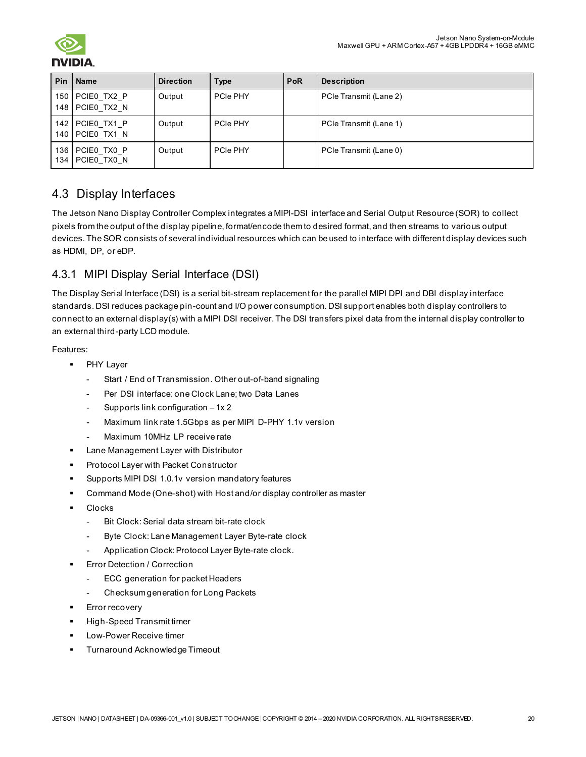|            | Pin   Name                         | <b>Direction</b> | <b>Type</b> | <b>PoR</b> | <b>Description</b>     |
|------------|------------------------------------|------------------|-------------|------------|------------------------|
|            | 150 PCIE0 TX2 P<br>148 PCIE0 TX2 N | Output           | PCIe PHY    |            | PCIe Transmit (Lane 2) |
|            | 142 PCIE0 TX1 P<br>140 PCIE0 TX1 N | Output           | PCIe PHY    |            | PCIe Transmit (Lane 1) |
| 136<br>134 | PCIE0 TX0 P<br>PCIE0 TX0 N         | Output           | PCIe PHY    |            | PCIe Transmit (Lane 0) |

# <span id="page-19-0"></span>4.3 Display Interfaces

The Jetson Nano Display Controller Complex integrates a MIPI-DSI interface and Serial Output Resource (SOR) to collect pixels from the output of the display pipeline, format/encode them to desired format, and then streams to various output devices. The SOR consists of several individual resources which can be used to interface with different display devices such as HDMI, DP, or eDP.

# <span id="page-19-1"></span>4.3.1 MIPI Display Serial Interface (DSI)

The Display Serial Interface (DSI) is a serial bit-stream replacement for the parallel MIPI DPI and DBI display interface standards. DSI reduces package pin-count and I/O power consumption. DSI support enables both display controllers to connect to an external display(s) with a MIPI DSI receiver. The DSI transfers pixel data from the internal display controller to an external third-party LCD module.

Features:

- **PHY Layer** 
	- Start / End of Transmission. Other out-of-band signaling
	- Per DSI interface: one Clock Lane; two Data Lanes
	- Supports link configuration 1x 2
	- Maximum link rate 1.5Gbps as per MIPI D-PHY 1.1v version
	- Maximum 10MHz LP receive rate
- **EXTER Management Layer with Distributor**
- Protocol Layer with Packet Constructor
- Supports MIPI DSI 1.0.1v version mandatory features
- Command Mode (One-shot) with Host and/or display controller as master
- Clocks
	- Bit Clock: Serial data stream bit-rate clock
	- Byte Clock: Lane Management Layer Byte-rate clock
	- Application Clock: Protocol Layer Byte-rate clock.
- Error Detection / Correction
	- ECC generation for packet Headers
	- Checksum generation for Long Packets
- Error recovery
- High-Speed Transmit timer
- Low-Power Receive timer
- Turnaround Acknowledge Timeout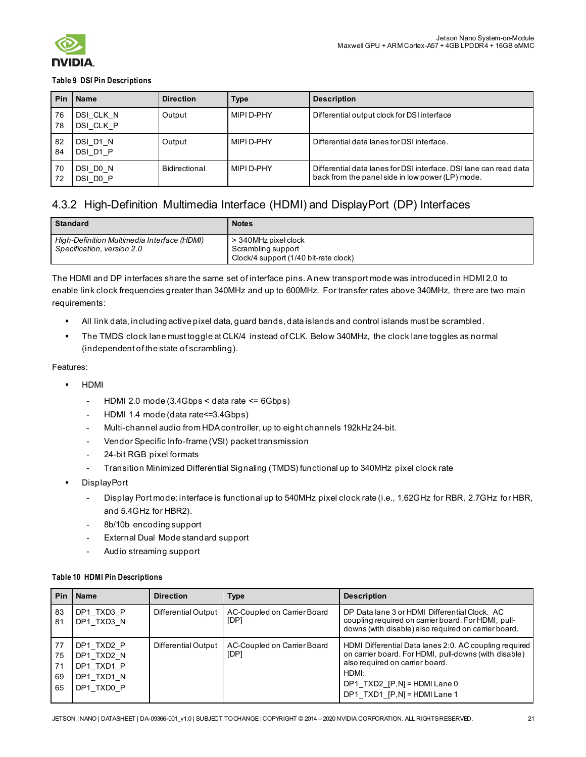

#### **Table 9 DSI Pin Descriptions**

| Pin      | <b>Name</b>            | <b>Direction</b> | <b>Type</b> | <b>Description</b>                                                                                                    |
|----------|------------------------|------------------|-------------|-----------------------------------------------------------------------------------------------------------------------|
| 76<br>78 | DSI CLK N<br>DSI CLK P | Output           | MIPI D-PHY  | Differential output clock for DSI interface                                                                           |
| 82<br>84 | DSI D1 N<br>DSI D1 P   | Output           | MIPI D-PHY  | Differential data lanes for DSI interface.                                                                            |
| 70<br>72 | DSI DO N<br>DSI DO P   | Bidirectional    | MIPI D-PHY  | Differential data lanes for DSI interface. DSI lane can read data<br>back from the panel side in low power (LP) mode. |

# <span id="page-20-0"></span>4.3.2 High-Definition Multimedia Interface (HDMI) and DisplayPort (DP) Interfaces

| <b>Standard</b>                                                           | <b>Notes</b>                                                                        |
|---------------------------------------------------------------------------|-------------------------------------------------------------------------------------|
| High-Definition Multimedia Interface (HDMI)<br>Specification, version 2.0 | > 340MHz pixel clock<br>Scrambling support<br>Clock/4 support (1/40 bit-rate clock) |

The HDMI and DP interfaces share the same set of interface pins. Anew transport mode was introduced in HDMI 2.0 to enable link clock frequencies greater than 340MHz and up to 600MHz. For transfer rates above 340MHz, there are two main requirements:

- All link data, including active pixel data, guard bands, data islands and control islands must be scrambled.
- The TMDS clock lane must toggle at CLK/4 instead of CLK. Below 340MHz, the clock lane toggles as normal (independent of the state of scrambling).

#### Features:

- HDMI
	- HDMI 2.0 mode  $(3.4Gbps < data$  rate  $\leq 6Gbps)$
	- HDMI 1.4 mode (data rate <= 3.4Gbps)
	- Multi-channel audio from HDA controller, up to eight channels 192kHz 24-bit.
	- Vendor Specific Info-frame (VSI) packet transmission
	- 24-bit RGB pixel formats
	- Transition Minimized Differential Signaling (TMDS) functional up to 340MHz pixel clock rate
- **DisplayPort** 
	- Display Port mode: interface is functional up to 540MHz pixel clock rate (i.e., 1.62GHz for RBR, 2.7GHz for HBR, and 5.4GHz for HBR2).
	- 8b/10b encoding support
	- External Dual Mode standard support
	- Audio streaming support

#### **Table 10 HDMI Pin Descriptions**

| <b>Pin</b>                 | Name                                                               | <b>Direction</b>    | Type                                | <b>Description</b>                                                                                                                                                                                                              |
|----------------------------|--------------------------------------------------------------------|---------------------|-------------------------------------|---------------------------------------------------------------------------------------------------------------------------------------------------------------------------------------------------------------------------------|
| 83<br>81                   | DP1 TXD3 P<br>DP1 TXD3 N                                           | Differential Output | AC-Coupled on Carrier Board<br>[DP] | DP Data lane 3 or HDMI Differential Clock. AC<br>coupling required on carrier board. For HDMI, pull-<br>downs (with disable) also required on carrier board.                                                                    |
| 77<br>75<br>71<br>69<br>65 | DP1 TXD2 P<br>DP1 TXD2 N<br>DP1 TXD1 P<br>DP1 TXD1 N<br>DP1 TXD0 P | Differential Output | AC-Coupled on Carrier Board<br>[DP] | HDMI Differential Data lanes 2:0. AC coupling required<br>on carrier board. For HDMI, pull-downs (with disable)<br>also required on carrier board.<br>HDMI:<br>DP1 TXD2 $[P,N] = HDMI$ Lane 0<br>DP1 TXD1 $[P,N] = HDMI$ Lane 1 |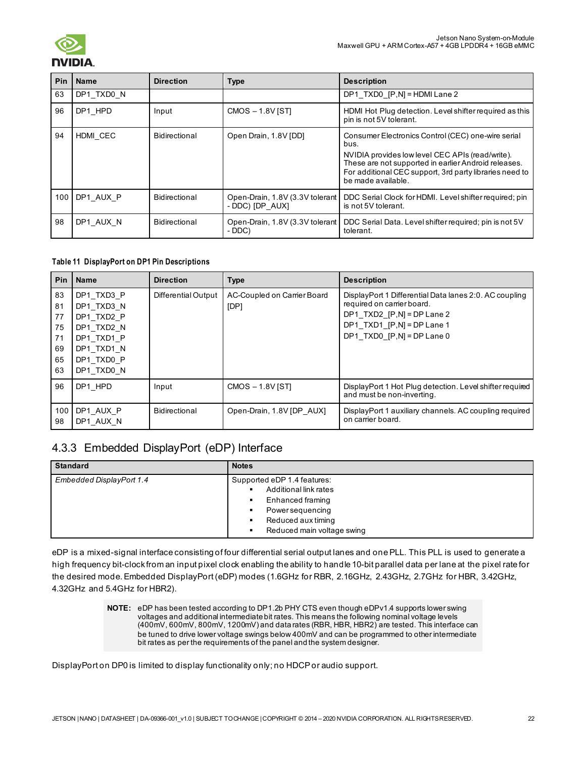

| <b>Pin</b> | <b>Name</b>   | <b>Direction</b> | <b>Type</b>                                        | <b>Description</b>                                                                                                                                                                                                                                      |
|------------|---------------|------------------|----------------------------------------------------|---------------------------------------------------------------------------------------------------------------------------------------------------------------------------------------------------------------------------------------------------------|
| 63         | DP1 TXD0 N    |                  |                                                    | DP1_TXD0_[P,N] = HDMI Lane 2                                                                                                                                                                                                                            |
| 96         | DP1 HPD       | Input            | $CMOS - 1.8V$ [ST]                                 | HDMI Hot Plug detection. Level shifter required as this<br>pin is not 5V tolerant.                                                                                                                                                                      |
| 94         | HDMI CEC      | Bidirectional    | Open Drain, 1.8V [DD]                              | Consumer Electronics Control (CEC) one-wire serial<br>bus.<br>NVIDIA provides low level CEC APIs (read/write).<br>These are not supported in earlier Android releases.<br>For additional CEC support, 3rd party libraries need to<br>be made available. |
|            | 100 DP1 AUX P | Bidirectional    | Open-Drain, 1.8V (3.3V tolerant<br>- DDC) [DP AUX] | DDC Serial Clock for HDMI. Level shifter required; pin<br>is not 5V tolerant.                                                                                                                                                                           |
| 98         | DP1 AUX N     | Bidirectional    | - DDC)                                             | Open-Drain, 1.8V (3.3V tolerant   DDC Serial Data. Level shifter required; pin is not 5V<br>tolerant.                                                                                                                                                   |

#### **Table 11 DisplayPort on DP1 Pin Descriptions**

| <b>Pin</b>                                   | <b>Name</b>                                                                                                  | <b>Direction</b>    | <b>Type</b>                         | <b>Description</b>                                                                                                                                                                   |
|----------------------------------------------|--------------------------------------------------------------------------------------------------------------|---------------------|-------------------------------------|--------------------------------------------------------------------------------------------------------------------------------------------------------------------------------------|
| 83<br>81<br>77<br>75<br>71<br>69<br>65<br>63 | DP1 TXD3 P<br>DP1 TXD3 N<br>DP1 TXD2 P<br>DP1 TXD2 N<br>DP1 TXD1 P<br>DP1 TXD1 N<br>DP1 TXD0 P<br>DP1 TXD0 N | Differential Output | AC-Coupled on Carrier Board<br>[DP] | DisplayPort 1 Differential Data lanes 2:0. AC coupling<br>required on carrier board.<br>DP1 TXD2 $[P,N] = DP$ Lane 2<br>DP1 TXD1 $[P,N] = DP$ Lane 1<br>DP1 TXD0 $[P,N] = DP$ Lane 0 |
| 96                                           | DP1 HPD                                                                                                      | Input               | $CMOS - 1.8V$ [ST]                  | DisplayPort 1 Hot Plug detection. Level shifter required<br>and must be non-inverting.                                                                                               |
| 100<br>98                                    | DP1 AUX P<br>DP1 AUX N                                                                                       | Bidirectional       | Open-Drain, 1.8V [DP AUX]           | DisplayPort 1 auxiliary channels. AC coupling required<br>on carrier board.                                                                                                          |

## <span id="page-21-0"></span>4.3.3 Embedded DisplayPort (eDP) Interface

| <b>Standard</b>          | <b>Notes</b>                |  |
|--------------------------|-----------------------------|--|
| Embedded DisplayPort 1.4 | Supported eDP 1.4 features: |  |
|                          | Additional link rates       |  |
|                          | Enhanced framing            |  |
|                          | <b>Power sequencing</b>     |  |
|                          | Reduced aux timing          |  |
|                          | Reduced main voltage swing  |  |

eDP is a mixed-signal interface consisting of four differential serial output lanes and one PLL. This PLL is used to generate a high frequency bit-clock from an input pixel clock enabling the ability to handle 10-bit parallel data per lane at the pixel rate for the desired mode. Embedded DisplayPort (eDP) modes (1.6GHz for RBR, 2.16GHz, 2.43GHz, 2.7GHz for HBR, 3.42GHz, 4.32GHz and 5.4GHz for HBR2).

> **NOTE:** eDP has been tested according to DP1.2b PHY CTS even though eDPv1.4 supports lower swing voltages and additional intermediate bit rates. This means the following nominal voltage levels (400mV, 600mV, 800mV, 1200mV) and data rates (RBR, HBR, HBR2) are tested. This interface can be tuned to drive lower voltage swings below 400mV and can be programmed to other intermediate bit rates as per the requirements of the panel and the system designer.

DisplayPort on DP0 is limited to display functionality only; no HDCP or audio support.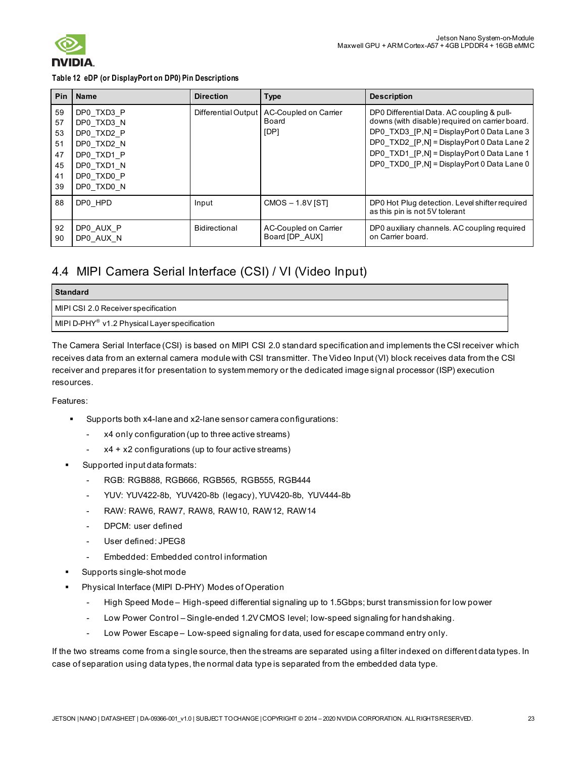

**Table 12 eDP (or DisplayPort on DP0) Pin Descriptions**

| <b>Pin</b>                                   | <b>Name</b>                                                                                                  | <b>Direction</b> | <b>Type</b>                                                  | <b>Description</b>                                                                                                                                                                                                                                                                    |
|----------------------------------------------|--------------------------------------------------------------------------------------------------------------|------------------|--------------------------------------------------------------|---------------------------------------------------------------------------------------------------------------------------------------------------------------------------------------------------------------------------------------------------------------------------------------|
| 59<br>57<br>53<br>51<br>47<br>45<br>41<br>39 | DP0 TXD3 P<br>DP0 TXD3 N<br>DP0 TXD2 P<br>DP0 TXD2 N<br>DP0 TXD1 P<br>DP0 TXD1 N<br>DP0 TXD0 P<br>DP0 TXD0 N |                  | Differential Output   AC-Coupled on Carrier<br>Board<br>[DP] | DP0 Differential Data. AC coupling & pull-<br>downs (with disable) required on carrier board.<br>DP0 TXD3 [P,N] = DisplayPort 0 Data Lane 3<br>DP0_TXD2_[P,N] = DisplayPort 0 Data Lane 2<br>DP0 TXD1 [P,N] = DisplayPort 0 Data Lane 1<br>DP0 TXD0 [P,N] = DisplayPort 0 Data Lane 0 |
| 88                                           | DP0 HPD                                                                                                      | Input            | $CMOS - 1.8V$ [ST]                                           | DP0 Hot Plug detection. Level shifter required<br>as this pin is not 5V tolerant                                                                                                                                                                                                      |
| 92<br>90                                     | DP0 AUX P<br>DP0 AUX N                                                                                       | Bidirectional    | AC-Coupled on Carrier<br>Board [DP AUX]                      | DP0 auxiliary channels. AC coupling required<br>on Carrier board.                                                                                                                                                                                                                     |

# <span id="page-22-0"></span>4.4 MIPI Camera Serial Interface (CSI) / VI (Video Input)

| <b>Standard</b>                                           |
|-----------------------------------------------------------|
| MIPI CSI 2.0 Receiver specification                       |
| MIPI D-PHY <sup>®</sup> v1.2 Physical Layer specification |

The Camera Serial Interface (CSI) is based on MIPI CSI 2.0 standard specification and implements the CSI receiver which receives data from an external camera module with CSI transmitter. The Video Input (VI) block receives data from the CSI receiver and prepares it for presentation to system memory or the dedicated image signal processor (ISP) execution resources.

Features:

- Supports both x4-lane and x2-lane sensor camera configurations:
	- x4 only configuration (up to three active streams)
	- x4 + x2 configurations (up to four active streams)
- Supported input data formats:
	- RGB: RGB888, RGB666, RGB565, RGB555, RGB444
	- YUV: YUV422-8b, YUV420-8b (legacy), YUV420-8b, YUV444-8b
	- RAW: RAW6, RAW7, RAW8, RAW10, RAW12, RAW14
	- DPCM: user defined
	- User defined: JPEG8
	- Embedded: Embedded control information
- Supports single-shot mode
- Physical Interface (MIPI D-PHY) Modes of Operation
	- High Speed Mode High-speed differential signaling up to 1.5Gbps; burst transmission for low power
	- Low Power Control Single-ended 1.2V CMOS level; low-speed signaling for handshaking.
	- Low Power Escape Low-speed signaling for data, used for escape command entry only.

If the two streams come from a single source, then the streams are separated using a filter indexed on different data types. In case of separation using data types, the normal data type is separated from the embedded data type.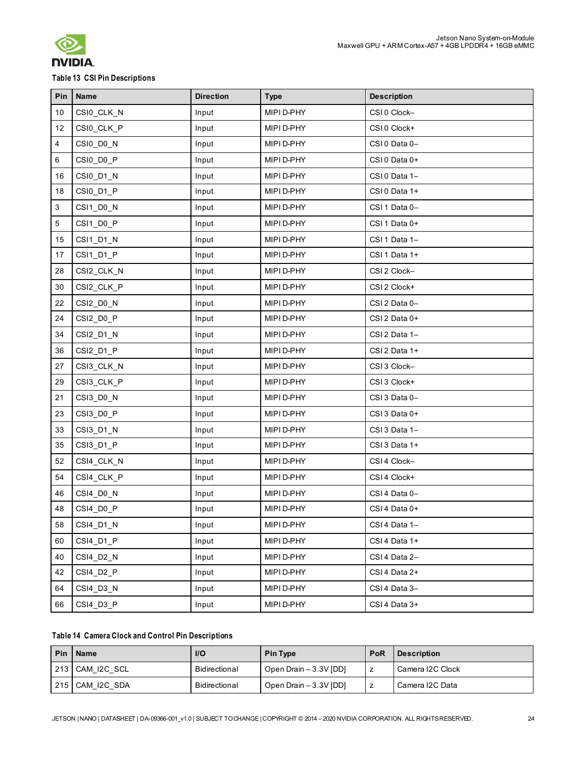

### **Table 13 CSI Pin Descriptions**

| Pin | <b>Name</b> | <b>Direction</b> | <b>Type</b> | <b>Description</b> |
|-----|-------------|------------------|-------------|--------------------|
| 10  | CSI0_CLK_N  | Input            | MIPI D-PHY  | CSI0 Clock-        |
| 12  | CSI0_CLK_P  | Input            | MIPI D-PHY  | CSI0 Clock+        |
| 4   | CSI0_D0_N   | Input            | MIPI D-PHY  | CSI 0 Data 0-      |
| 6   | CSI0_D0_P   | Input            | MIPI D-PHY  | CSI0 Data 0+       |
| 16  | CSI0_D1_N   | Input            | MIPI D-PHY  | CSI 0 Data 1-      |
| 18  | CSI0_D1_P   | Input            | MIPI D-PHY  | CSI 0 Data 1+      |
| 3   | CSI1_D0_N   | Input            | MIPI D-PHY  | CSI1Data0-         |
| 5   | CSI1_D0_P   | Input            | MIPI D-PHY  | CSI 1 Data 0+      |
| 15  | CSI1_D1_N   | Input            | MIPI D-PHY  | CSI 1 Data 1-      |
| 17  | CSI1_D1_P   | Input            | MIPI D-PHY  | CSI1 Data 1+       |
| 28  | CSI2_CLK_N  | Input            | MIPI D-PHY  | CSI 2 Clock-       |
| 30  | CSI2_CLK_P  | Input            | MIPI D-PHY  | CSI 2 Clock+       |
| 22  | CSI2_D0_N   | Input            | MIPI D-PHY  | CSI 2 Data 0-      |
| 24  | CSI2_D0_P   | Input            | MIPI D-PHY  | CSI 2 Data 0+      |
| 34  | CSI2_D1_N   | Input            | MIPI D-PHY  | CSI 2 Data 1-      |
| 36  | CSI2_D1_P   | Input            | MIPI D-PHY  | CSI 2 Data 1+      |
| 27  | CSI3_CLK_N  | Input            | MIPI D-PHY  | CSI3 Clock-        |
| 29  | CSI3_CLK_P  | Input            | MIPI D-PHY  | CSI3 Clock+        |
| 21  | CSI3_D0_N   | Input            | MIPI D-PHY  | CSI3 Data 0-       |
| 23  | CSI3_D0_P   | Input            | MIPI D-PHY  | CSI3 Data 0+       |
| 33  | CSI3_D1_N   | Input            | MIPI D-PHY  | CSI3 Data 1-       |
| 35  | CSI3_D1_P   | Input            | MIPI D-PHY  | CSI3 Data 1+       |
| 52  | CSI4_CLK_N  | Input            | MIPI D-PHY  | CSI 4 Clock-       |
| 54  | CSI4_CLK_P  | Input            | MIPI D-PHY  | CSI 4 Clock+       |
| 46  | CSI4_D0_N   | Input            | MIPI D-PHY  | CSI 4 Data 0-      |
| 48  | CSI4_D0_P   | Input            | MIPI D-PHY  | CSI 4 Data 0+      |
| 58  | CSI4_D1_N   | Input            | MIPI D-PHY  | CSI 4 Data 1-      |
| 60  | CSI4_D1_P   | Input            | MIPI D-PHY  | CSI 4 Data 1+      |
| 40  | CSI4 D2 N   | Input            | MIPI D-PHY  | CSI 4 Data 2-      |
| 42  | CSI4_D2_P   | Input            | MIPI D-PHY  | CSI4 Data 2+       |
| 64  | CSI4_D3_N   | Input            | MIPI D-PHY  | CSI 4 Data 3-      |
| 66  | CSI4_D3_P   | Input            | MIPI D-PHY  | CSI 4 Data 3+      |

#### **Table 14 Camera Clock and Control Pin Descriptions**

| Pin   Name      | <b>I/O</b>    | <b>Pin Type</b>        | PoR | <b>Description</b> |
|-----------------|---------------|------------------------|-----|--------------------|
| 213 CAM I2C SCL | Bidirectional | Open Drain - 3.3V [DD] |     | Camera I2C Clock   |
| 215 CAM I2C SDA | Bidirectional | Open Drain - 3.3V [DD] |     | Camera I2C Data    |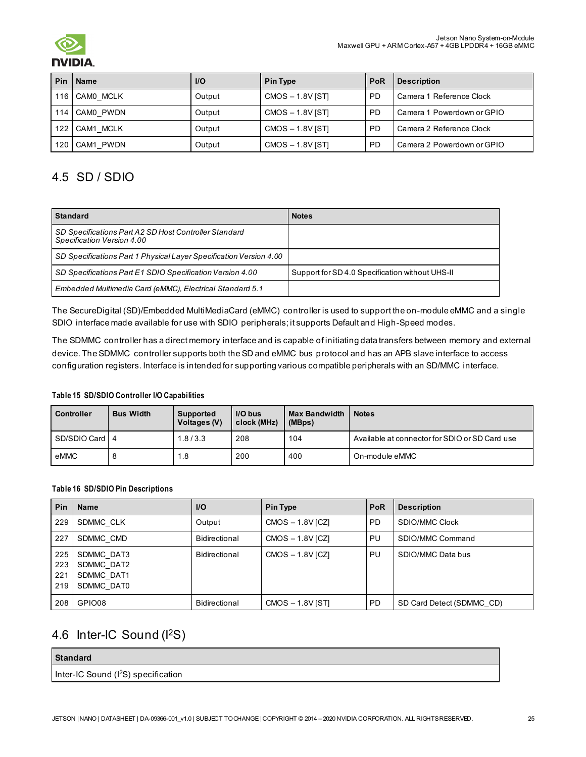

| Pin | Name          | <b>I/O</b> | <b>Pin Type</b>    | PoR       | <b>Description</b>         |
|-----|---------------|------------|--------------------|-----------|----------------------------|
|     | 116 CAM0 MCLK | Output     | $CMOS - 1.8V$ [ST] | <b>PD</b> | Camera 1 Reference Clock   |
|     | 114 CAM0 PWDN | Output     | $CMOS - 1.8V$ [ST] | <b>PD</b> | Camera 1 Powerdown or GPIO |
| 122 | CAM1 MCLK     | Output     | $CMOS - 1.8V$ [ST] | <b>PD</b> | Camera 2 Reference Clock   |
| 120 | CAM1 PWDN     | Output     | $CMOS - 1.8V$ [ST] | <b>PD</b> | Camera 2 Powerdown or GPIO |

# <span id="page-24-0"></span>4.5 SD / SDIO

| <b>Standard</b>                                                                     | <b>Notes</b>                                    |
|-------------------------------------------------------------------------------------|-------------------------------------------------|
| SD Specifications Part A2 SD Host Controller Standard<br>Specification Version 4.00 |                                                 |
| SD Specifications Part 1 Physical Layer Specification Version 4.00                  |                                                 |
| SD Specifications Part E1 SDIO Specification Version 4.00                           | Support for SD 4.0 Specification without UHS-II |
| Embedded Multimedia Card (eMMC), Electrical Standard 5.1                            |                                                 |

The SecureDigital (SD)/Embedded MultiMediaCard (eMMC) controller is used to support the on-module eMMC and a single SDIO interface made available for use with SDIO peripherals; it supports Default and High-Speed modes.

The SDMMC controller has a direct memory interface and is capable of initiating data transfers between memory and external device. The SDMMC controller supports both the SD and eMMC bus protocol and has an APB slave interface to access configuration registers. Interface is intended for supporting various compatible peripherals with an SD/MMC interface.

#### **Table 15 SD/SDIO Controller I/O Capabilities**

| <b>Controller</b> | <b>Bus Width</b> | Supported<br>Voltages (V) | I/O bus<br>clock (MHz) | <b>Max Bandwidth</b><br>(MBps) | <b>Notes</b>                                   |
|-------------------|------------------|---------------------------|------------------------|--------------------------------|------------------------------------------------|
| SD/SDIO Card 4    |                  | 1.8/3.3                   | 208                    | 104                            | Available at connector for SDIO or SD Card use |
| eMMC              |                  | 1.8                       | 200                    | 400                            | On-module eMMC                                 |

#### **Table 16 SD/SDIO Pin Descriptions**

| <b>Pin</b>               | Name                                                 | I/O           | <b>Pin Type</b>    | <b>PoR</b> | <b>Description</b>        |
|--------------------------|------------------------------------------------------|---------------|--------------------|------------|---------------------------|
| 229                      | SDMMC CLK                                            | Output        | $CMOS - 1.8V$ [CZ] | PD.        | SDIO/MMC Clock            |
| 227                      | SDMMC CMD                                            | Bidirectional | $CMOS - 1.8V$ [CZ] | PU.        | SDIO/MMC Command          |
| 225<br>223<br>221<br>219 | SDMMC DAT3<br>SDMMC DAT2<br>SDMMC DAT1<br>SDMMC DAT0 | Bidirectional | $CMOS - 1.8V$ [CZ] | <b>PU</b>  | SDIO/MMC Data bus         |
| 208                      | GPIO08                                               | Bidirectional | $CMOS - 1.8V$ [ST] | PD.        | SD Card Detect (SDMMC CD) |

# <span id="page-24-1"></span>4.6 Inter-IC Sound (I 2S)

### **Standard**

Inter-IC Sound (I<sup>2</sup>S) specification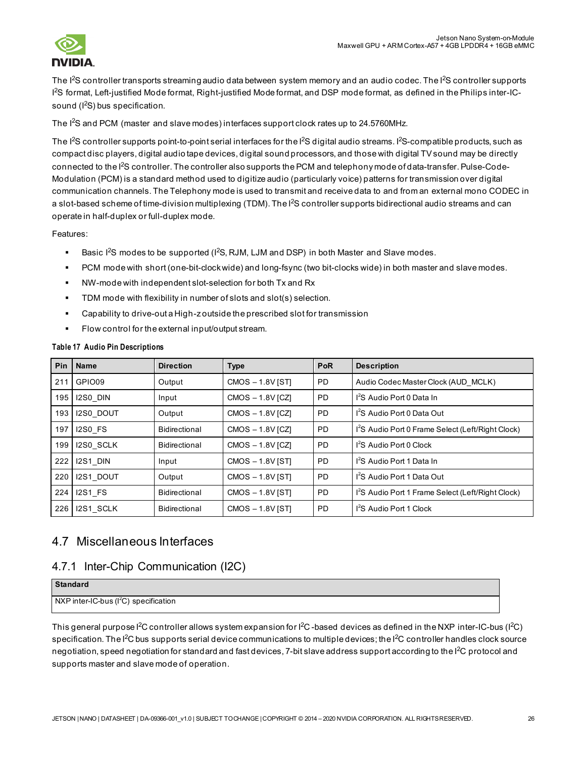

The I<sup>2</sup>S controller transports streaming audio data between system memory and an audio codec. The I<sup>2</sup>S controller supports I 2 S format, Left-justified Mode format, Right-justified Mode format, and DSP mode format, as defined in the Philips inter-ICsound  $(I<sup>2</sup>S)$  bus specification.

The I 2S and PCM (master and slave modes) interfaces support clock rates up to 24.5760MHz.

The I<sup>2</sup>S controller supports point-to-point serial interfaces for the I<sup>2</sup>S digital audio streams. I<sup>2</sup>S-compatible products, such as compact disc players, digital audio tape devices, digital sound processors, and those with digital TV sound may be directly connected to the l<sup>2</sup>S controller. The controller also supports the PCM and telephony mode of data-transfer. Pulse-Code-Modulation (PCM) is a standard method used to digitize audio (particularly voice) patterns for transmission over digital communication channels. The Telephony mode is used to transmit and receive data to and from an external mono CODEC in a slot-based scheme of time-division multiplexing (TDM). The l<sup>2</sup>S controller supports bidirectional audio streams and can operate in half-duplex or full-duplex mode.

Features:

- **Basic I**<sup>2</sup>S modes to be supported (I<sup>2</sup>S, RJM, LJM and DSP) in both Master and Slave modes.
- PCM mode with short (one-bit-clock wide) and long-fsync (two bit-clocks wide) in both master and slave modes.
- NW-mode with independent slot-selection for both Tx and Rx
- TDM mode with flexibility in number of slots and slot(s) selection.
- Capability to drive-out a High-z outside the prescribed slot for transmission
- **Flow control for the external input/output stream.**

| Pin I | <b>Name</b>    | <b>Direction</b> | <b>Type</b>        | <b>PoR</b> | <b>Description</b>                                            |
|-------|----------------|------------------|--------------------|------------|---------------------------------------------------------------|
| 211   | GPIO09         | Output           | CMOS-1.8V [ST]     | <b>PD</b>  | Audio Codec Master Clock (AUD MCLK)                           |
| 195   | I2S0 DIN       | Input            | $CMOS - 1.8V$ [CZ] | <b>PD</b>  | I <sup>2</sup> S Audio Port 0 Data In                         |
| 193   | I2S0 DOUT      | Output           | $CMOS - 1.8V$ [CZ] | <b>PD</b>  | I <sup>2</sup> S Audio Port 0 Data Out                        |
| 197   | I2S0 FS        | Bidirectional    | $CMOS - 1.8V$ [CZ] | <b>PD</b>  | I <sup>2</sup> S Audio Port 0 Frame Select (Left/Right Clock) |
| 199   | I2S0 SCLK      | Bidirectional    | $CMOS - 1.8V$ [CZ] | <b>PD</b>  | I <sup>2</sup> S Audio Port 0 Clock                           |
| 222   | I2S1 DIN       | Input            | $CMOS - 1.8V$ [ST] | <b>PD</b>  | I <sup>2</sup> S Audio Port 1 Data In                         |
|       | 220 I2S1 DOUT  | Output           | $CMOS - 1.8V$ [ST] | <b>PD</b>  | I <sup>2</sup> S Audio Port 1 Data Out                        |
| 224   | <b>I2S1 FS</b> | Bidirectional    | $CMOS - 1.8V$ [ST] | <b>PD</b>  | I <sup>2</sup> S Audio Port 1 Frame Select (Left/Right Clock) |
|       | 226 12S1 SCLK  | Bidirectional    | $CMOS - 1.8V$ [ST] | <b>PD</b>  | 1 <sup>2</sup> S Audio Port 1 Clock                           |

#### **Table 17 Audio Pin Descriptions**

### <span id="page-25-0"></span>4.7 Miscellaneous Interfaces

### <span id="page-25-1"></span>4.7.1 Inter-Chip Communication (I2C)

| <b>Standard</b>                        |  |
|----------------------------------------|--|
| NXP inter-IC-bus $(I2C)$ specification |  |

This general purpose l<sup>2</sup>C controller allows system expansion for l<sup>2</sup>C -based devices as defined in the NXP inter-IC-bus (l<sup>2</sup>C) specification. The I<sup>2</sup>C bus supports serial device communications to multiple devices; the I<sup>2</sup>C controller handles clock source negotiation, speed negotiation for standard and fast devices, 7-bit slave address support according to the I<sup>2</sup>C protocol and supports master and slave mode of operation.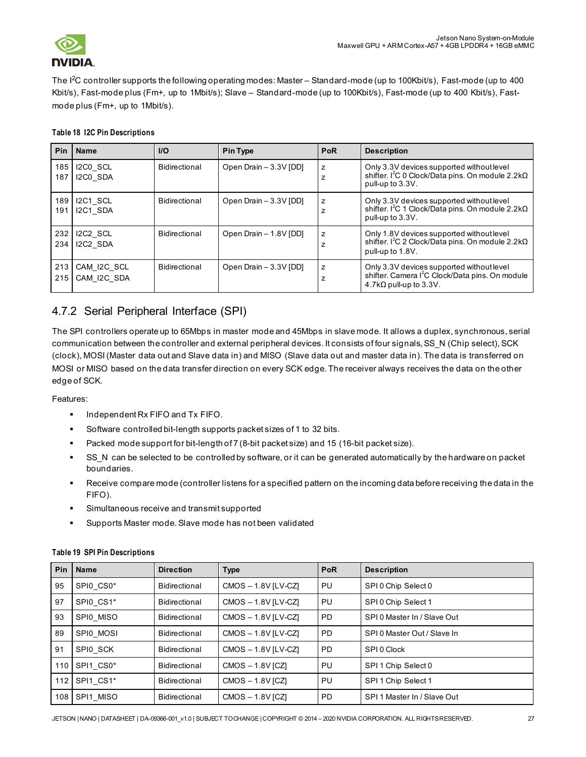

The I 2 C controller supports the following operating modes: Master – Standard-mode (up to 100Kbit/s), Fast-mode (up to 400 Kbit/s), Fast-mode plus (Fm+, up to 1Mbit/s); Slave – Standard-mode (up to 100Kbit/s), Fast-mode (up to 400 Kbit/s), Fastmode plus (Fm+, up to 1Mbit/s).

|  |  |  | <b>Table 18 I2C Pin Descriptions</b> |
|--|--|--|--------------------------------------|
|--|--|--|--------------------------------------|

| Pin        | <b>Name</b>                | I/O           | <b>Pin Type</b>        | PoR                 | <b>Description</b>                                                                                                                            |
|------------|----------------------------|---------------|------------------------|---------------------|-----------------------------------------------------------------------------------------------------------------------------------------------|
| 185<br>187 | I2C0 SCL<br>I2C0 SDA       | Bidirectional | Open Drain - 3.3V [DD] | z<br>Z              | Only 3.3V devices supported without level<br>shifter. I <sup>2</sup> C 0 Clock/Data pins. On module 2.2kΩ<br>pull-up to 3.3V.                 |
| 189<br>191 | I2C1 SCL<br>I2C1 SDA       | Bidirectional | Open Drain - 3.3V [DD] | z<br>Z              | Only 3.3V devices supported without level<br>shifter. I <sup>2</sup> C 1 Clock/Data pins. On module 2.2kΩ<br>pull-up to 3.3V.                 |
| 232<br>234 | I2C2 SCL<br>I2C2 SDA       | Bidirectional | Open Drain - 1.8V [DD] | Z<br>7              | Only 1.8V devices supported without level<br>shifter. I <sup>2</sup> C 2 Clock/Data pins. On module 2.2kΩ<br>pull-up to 1.8V.                 |
| 213<br>215 | CAM I2C SCL<br>CAM I2C SDA | Bidirectional | Open Drain - 3.3V [DD] | z<br>$\overline{ }$ | Only 3.3V devices supported without level<br>shifter. Camera I <sup>2</sup> C Clock/Data pins. On module<br>$4.7$ k $\Omega$ pull-up to 3.3V. |

# <span id="page-26-0"></span>4.7.2 Serial Peripheral Interface (SPI)

The SPI controllers operate up to 65Mbps in master mode and 45Mbps in slave mode. It allows a duplex, synchronous, serial communication between the controller and external peripheral devices. It consists of four signals, SS\_N (Chip select), SCK (clock), MOSI (Master data out and Slave data in) and MISO (Slave data out and master data in). The data is transferred on MOSI or MISO based on the data transfer direction on every SCK edge. The receiver always receives the data on the other edge of SCK.

Features:

- Independent Rx FIFO and Tx FIFO.
- Software controlled bit-length supports packet sizes of 1 to 32 bits.
- Packed mode support for bit-length of 7 (8-bit packet size) and 15 (16-bit packet size).
- SS\_N can be selected to be controlled by software, or it can be generated automatically by the hardware on packet boundaries.
- Receive compare mode (controller listens for a specified pattern on the incoming data before receiving the data in the FIFO).
- **Simultaneous receive and transmit supported**
- Supports Master mode. Slave mode has not been validated

| <b>Pin</b> | <b>Name</b>   | <b>Direction</b>     | Type                    | <b>PoR</b> | <b>Description</b>          |
|------------|---------------|----------------------|-------------------------|------------|-----------------------------|
| 95         | SPIO CS0*     | Bidirectional        | $CMOS - 1.8V$ $[LV-CZ]$ | PU         | SPI 0 Chip Select 0         |
| 97         | SPI0 CS1*     | Bidirectional        | $CMOS - 1.8V$ $[LV-CZ]$ | PU         | SPI 0 Chip Select 1         |
| 93         | SPI0 MISO     | Bidirectional        | $CMOS - 1.8V$ $[LV-CZ]$ | <b>PD</b>  | SPI 0 Master In / Slave Out |
| 89         | SPI0 MOSI     | <b>Bidirectional</b> | $CMOS - 1.8V [LV-CZ]$   | <b>PD</b>  | SPI 0 Master Out / Slave In |
| 91         | SPIO SCK      | Bidirectional        | $CMOS - 1.8V [LV-CZ]$   | <b>PD</b>  | SPI 0 Clock                 |
| 110        | SPI1 CS0*     | Bidirectional        | $CMOS - 1.8V$ [CZ]      | PU         | SPI 1 Chip Select 0         |
|            | 112 SPI1 CS1* | <b>Bidirectional</b> | $CMOS - 1.8V$ [CZ]      | PU         | SPI 1 Chip Select 1         |
|            | 108 SPI1 MISO | Bidirectional        | $CMOS - 1.8V$ [CZ]      | <b>PD</b>  | SPI 1 Master In / Slave Out |

#### **Table 19 SPI Pin Descriptions**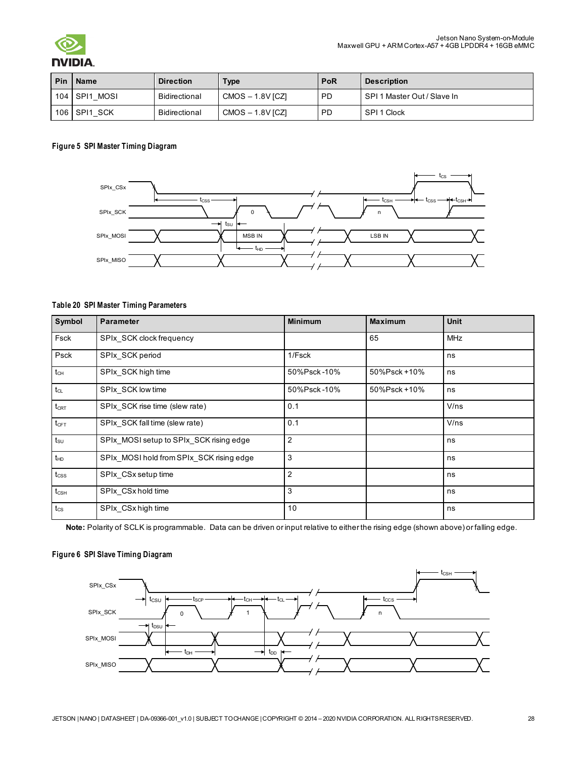

### AIC.

| Pin | <b>Name</b>  | <b>Direction</b> | Type               | <b>PoR</b> | <b>Description</b>          |
|-----|--------------|------------------|--------------------|------------|-----------------------------|
| 104 | SPI1 MOSI    | Bidirectional    | $CMOS - 1.8V$ [CZ] | <b>PD</b>  | SPI 1 Master Out / Slave In |
|     | 106 SPI1 SCK | Bidirectional    | $CMOS - 1.8V$ [CZ] | <b>PD</b>  | SPI 1 Clock                 |

#### **Figure 5 SPI Master Timing Diagram**



#### **Table 20 SPI Master Timing Parameters**

| Symbol           | <b>Parameter</b>                         | <b>Minimum</b> | <b>Maximum</b> | <b>Unit</b> |
|------------------|------------------------------------------|----------------|----------------|-------------|
| Fsck             | SPIx_SCK clock frequency                 |                | 65             | <b>MHz</b>  |
| Psck             | SPIx SCK period                          | 1/Fsck         |                | ns          |
| $t_{\text{CH}}$  | SPIx SCK high time                       | 50%Psck-10%    | 50%Psck+10%    | ns          |
| $t_{CL}$         | SPIx SCK low time                        | 50%Psck-10%    | 50%Psck+10%    | ns          |
| $t_{\text{CRT}}$ | SPIx SCK rise time (slew rate)           | 0.1            |                | V/ns        |
| $t_{CFT}$        | SPIx SCK fall time (slew rate)           | 0.1            |                | V/ns        |
| $t_{\text{su}}$  | SPIx MOSI setup to SPIx SCK rising edge  | $\overline{2}$ |                | ns          |
| $t_{HD}$         | SPIx MOSI hold from SPIx SCK rising edge | 3              |                | ns          |
| $t_{\text{CSS}}$ | SPIx CSx setup time                      | $\overline{2}$ |                | ns          |
| $t_{\text{CSH}}$ | SPIx CSx hold time                       | 3              |                | ns          |
| $t_{\text{CS}}$  | SPIx CSx high time                       | 10             |                | ns          |

**Note:** Polarity of SCLK is programmable. Data can be driven or input relative to either the rising edge (shown above) or falling edge.

#### **Figure 6 SPI Slave Timing Diagram**

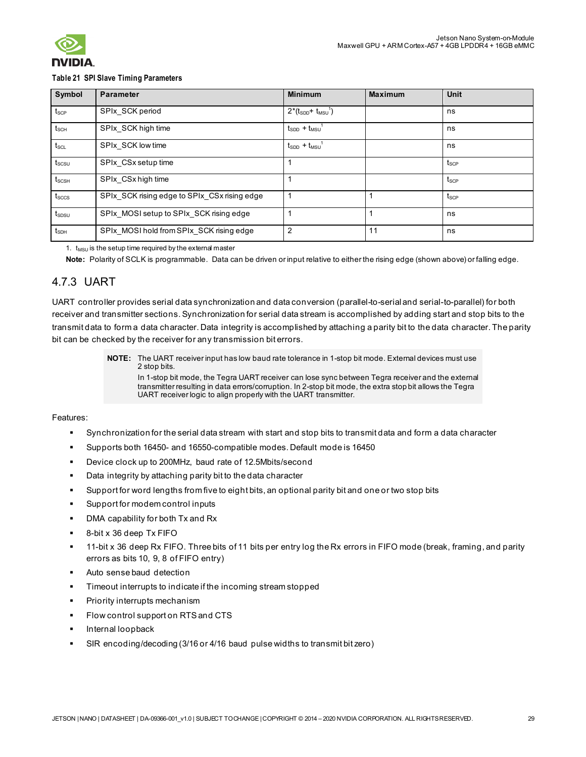

#### **Table 21 SPI Slave Timing Parameters**

| Symbol                            | <b>Parameter</b>                             | <b>Minimum</b>                     | <b>Maximum</b> | <b>Unit</b>      |
|-----------------------------------|----------------------------------------------|------------------------------------|----------------|------------------|
| $t_{\scriptscriptstyle\rm{SCP}}$  | SPIx SCK period                              | $2*(t_{SDD}+ t_{MSU}^{\dagger})$   |                | ns               |
| $t_{\scriptscriptstyle\rm SCH}$   | SPIx_SCK high time                           | $t_{SDD}$ + $t_{MSU}$              |                | ns               |
| $t_{\scriptscriptstyle\rm SCL}$   | SPIx SCK low time                            | $t_{SDD}$ + $t_{MSU}$ <sup>1</sup> |                | ns               |
| $t_{\scriptscriptstyle \rm SCSU}$ | SPIx CSx setup time                          |                                    |                | t <sub>scp</sub> |
| $t_{\text{SCSH}}$                 | SPIx CSx high time                           |                                    |                | t <sub>scp</sub> |
| $t_{\text{SCCS}}$                 | SPIx_SCK rising edge to SPIx_CSx rising edge |                                    |                | t <sub>scp</sub> |
| $t_{SDSU}$                        | SPIx MOSI setup to SPIx SCK rising edge      |                                    |                | ns               |
| $t_{SDH}$                         | SPIx MOSI hold from SPIx SCK rising edge     |                                    | 11             | ns               |

1.  $t_{MSU}$  is the setup time required by the external master

**Note:** Polarity of SCLK is programmable. Data can be driven or input relative to either the rising edge (shown above) or falling edge.

### <span id="page-28-0"></span>4.7.3 UART

UART controller provides serial data synchronization and data conversion (parallel-to-serial and serial-to-parallel) for both receiver and transmitter sections. Synchronization for serial data stream is accomplished by adding start and stop bits to the transmit data to form a data character. Data integrity is accomplished by attaching a parity bit to the data character. The parity bit can be checked by the receiver for any transmission bit errors.

> **NOTE:** The UART receiver input has low baud rate tolerance in 1-stop bit mode. External devices must use 2 stop bits. In 1-stop bit mode, the Tegra UART receiver can lose sync between Tegra receiver and the external transmitter resulting in data errors/corruption. In 2-stop bit mode, the extra stop bit allows the Tegra UART receiver logic to align properly with the UART transmitter.

#### Features:

- Synchronization for the serial data stream with start and stop bits to transmit data and form a data character
- Supports both 16450- and 16550-compatible modes. Default mode is 16450
- Device clock up to 200MHz, baud rate of 12.5Mbits/second
- Data integrity by attaching parity bit to the data character
- Support for word lengths from five to eight bits, an optional parity bit and one or two stop bits
- Support for modem control inputs
- **DMA** capability for both Tx and Rx
- 8-bit x 36 deep Tx FIFO
- 11-bit x 36 deep Rx FIFO. Three bits of 11 bits per entry log the Rx errors in FIFO mode (break, framing, and parity errors as bits 10, 9, 8 of FIFO entry)
- Auto sense baud detection
- Timeout interrupts to indicate if the incoming stream stopped
- Priority interrupts mechanism
- Flow control support on RTS and CTS
- Internal loopback
- SIR encoding/decoding (3/16 or 4/16 baud pulse widths to transmit bit zero)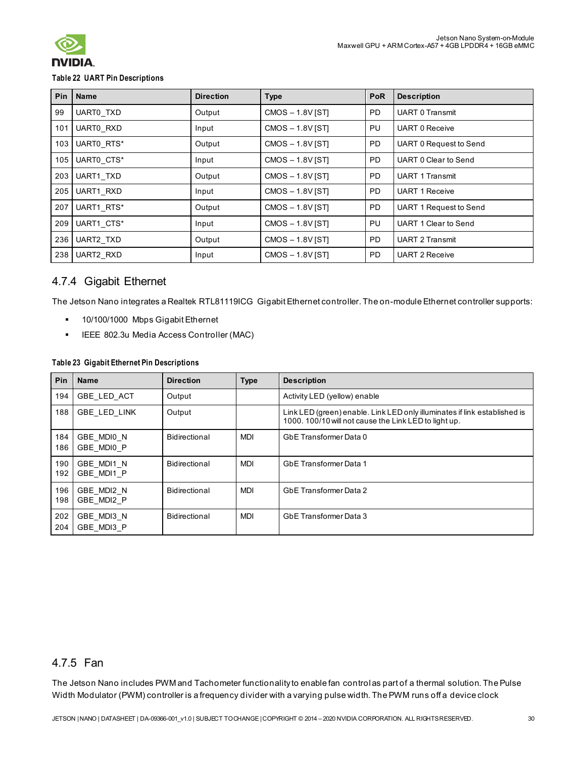

#### **Table 22 UART Pin Descriptions**

|     | Pin   Name | <b>Direction</b> | <b>Type</b>        | <b>PoR</b> | <b>Description</b>            |
|-----|------------|------------------|--------------------|------------|-------------------------------|
| 99  | UART0 TXD  | Output           | CMOS-1.8V [ST]     | PD.        | <b>UART 0 Transmit</b>        |
| 101 | UART0_RXD  | Input            | $CMOS - 1.8V$ [ST] | PU         | <b>UART 0 Receive</b>         |
| 103 | UARTO RTS* | Output           | CMOS-1.8V [ST]     | <b>PD</b>  | <b>UART 0 Request to Send</b> |
| 105 | UARTO CTS* | Input            | $CMOS - 1.8V$ [ST] | <b>PD</b>  | UART 0 Clear to Send          |
| 203 | UART1 TXD  | Output           | CMOS-1.8V [ST]     | <b>PD</b>  | <b>UART 1 Transmit</b>        |
| 205 | UART1 RXD  | Input            | CMOS-1.8V [ST]     | PD.        | <b>UART 1 Receive</b>         |
| 207 | UART1 RTS* | Output           | $CMOS - 1.8V$ [ST] | PD.        | UART 1 Request to Send        |
| 209 | UART1 CTS* | Input            | $CMOS - 1.8V$ [ST] | PU         | UART 1 Clear to Send          |
| 236 | UART2 TXD  | Output           | $CMOS - 1.8V$ [ST] | <b>PD</b>  | <b>UART 2 Transmit</b>        |
| 238 | UART2_RXD  | Input            | CMOS-1.8V [ST]     | PD.        | <b>UART 2 Receive</b>         |

### <span id="page-29-0"></span>4.7.4 Gigabit Ethernet

The Jetson Nano integrates a Realtek RTL81119ICG Gigabit Ethernet controller. The on-module Ethernet controller supports:

- **10/100/1000 Mbps Gigabit Ethernet**
- **IEEE 802.3u Media Access Controller (MAC)**

#### **Table 23 Gigabit Ethernet Pin Descriptions**

| Pin        | <b>Name</b>              | <b>Direction</b> | <b>Type</b> | <b>Description</b>                                                                                                                 |
|------------|--------------------------|------------------|-------------|------------------------------------------------------------------------------------------------------------------------------------|
| 194        | GBE LED ACT              | Output           |             | Activity LED (yellow) enable                                                                                                       |
| 188        | <b>GBE LED LINK</b>      | Output           |             | Link LED (green) enable. Link LED only illuminates if link established is<br>1000. 100/10 will not cause the Link LED to light up. |
| 184<br>186 | GBE MDIO N<br>GBE MDI0 P | Bidirectional    | <b>MDI</b>  | GbE Transformer Data 0                                                                                                             |
| 190<br>192 | GBE MDI1 N<br>GBE MDI1 P | Bidirectional    | <b>MDI</b>  | GbE Transformer Data 1                                                                                                             |
| 196<br>198 | GBE MDI2 N<br>GBE_MDI2 P | Bidirectional    | <b>MDI</b>  | GbE Transformer Data 2                                                                                                             |
| 202<br>204 | GBE MDI3 N<br>GBE MDI3 P | Bidirectional    | <b>MDI</b>  | GbE Transformer Data 3                                                                                                             |

### <span id="page-29-1"></span>4.7.5 Fan

The Jetson Nano includes PWM and Tachometer functionality to enable fan control as part of a thermal solution. The Pulse Width Modulator (PWM) controller is a frequency divider with a varying pulse width. The PWM runs off a device clock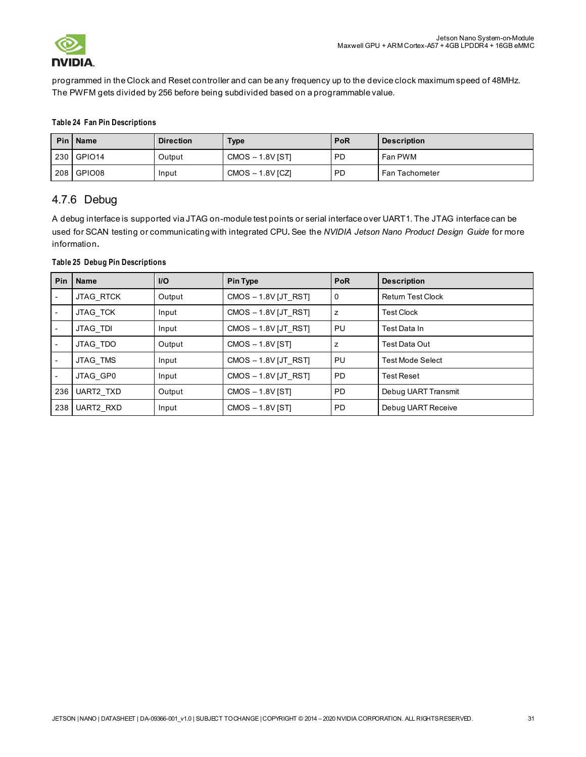

programmed in the Clock and Reset controller and can be any frequency up to the device clock maximum speed of 48MHz. The PWFM gets divided by 256 before being subdivided based on a programmable value.

#### **Table 24 Fan Pin Descriptions**

|     | Pin   Name | <b>Direction</b> | <b>Type</b>        | <b>PoR</b> | <b>Description</b> |
|-----|------------|------------------|--------------------|------------|--------------------|
|     | 230 GPIO14 | Output           | $CMOS - 1.8V$ [ST] | <b>PD</b>  | Fan PWM            |
| 208 | GPIO08     | Input            | $CMOS - 1.8V$ [CZ] | <b>PD</b>  | Fan Tachometer     |

### <span id="page-30-0"></span>4.7.6 Debug

A debug interface is supported via JTAG on-module test points or serial interface over UART1. The JTAG interface can be used for SCAN testing or communicating with integrated CPU*.* See the *NVIDIA Jetson Nano Product Design Guide* for more information*.*

#### **Table 25 Debug Pin Descriptions**

| <b>Pin</b> | <b>Name</b>      | I/O    | <b>Pin Type</b>        | <b>PoR</b>  | <b>Description</b>       |
|------------|------------------|--------|------------------------|-------------|--------------------------|
|            | <b>JTAG RTCK</b> | Output | $CMOS - 1.8V$ [JT RST] | $\mathbf 0$ | <b>Return Test Clock</b> |
|            | JTAG TCK         | Input  | $CMOS - 1.8V$ [JT RST] | z           | <b>Test Clock</b>        |
|            | JTAG TDI         | Input  | $CMOS - 1.8V$ [JT RST] | PU          | Test Data In             |
|            | JTAG TDO         | Output | $CMOS - 1.8V$ [ST]     | z           | Test Data Out            |
|            | JTAG TMS         | Input  | $CMOS - 1.8V$ [JT RST] | PU          | <b>Test Mode Select</b>  |
|            | JTAG GP0         | Input  | $CMOS - 1.8V$ [JT RST] | <b>PD</b>   | <b>Test Reset</b>        |
| 236        | UART2_TXD        | Output | $CMOS - 1.8V$ [ST]     | <b>PD</b>   | Debug UART Transmit      |
| 238        | UART2 RXD        | Input  | CMOS-1.8V [ST]         | <b>PD</b>   | Debug UART Receive       |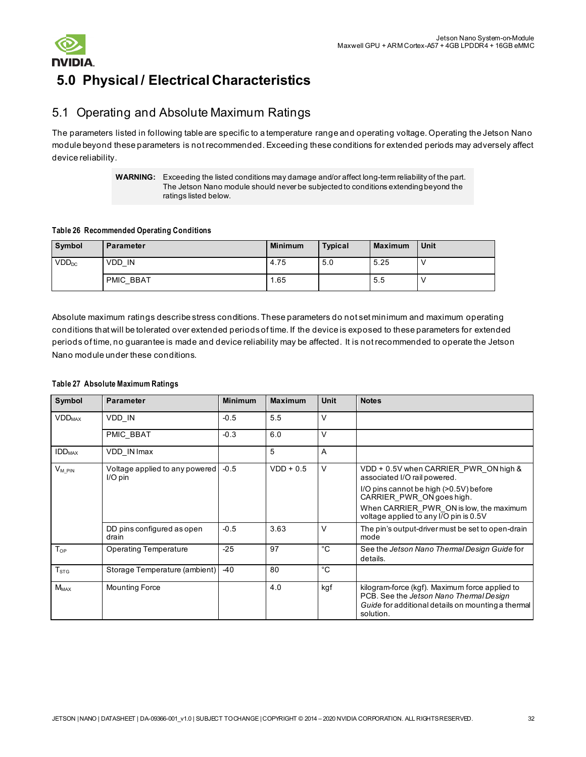



# <span id="page-31-0"></span>**5.0 Physical / Electrical Characteristics**

# <span id="page-31-1"></span>5.1 Operating and Absolute Maximum Ratings

The parameters listed in following table are specific to a temperature range and operating voltage. Operating the Jetson Nano module beyond these parameters is not recommended. Exceeding these conditions for extended periods may adversely affect device reliability.

> **WARNING:** Exceeding the listed conditions may damage and/or affect long-term reliability of the part. The Jetson Nano module should never be subjected to conditions extending beyond the ratings listed below.

#### **Table 26 Recommended Operating Conditions**

| Symbol            | <b>Parameter</b> | <b>Minimum</b> | <b>Typical</b> | <b>Maximum</b> | Unit |
|-------------------|------------------|----------------|----------------|----------------|------|
| VDD <sub>DC</sub> | VDD IN           | 4.75           | 5.0            | 5.25           |      |
|                   | <b>PMIC BBAT</b> | i.65           |                | 5.5            |      |

Absolute maximum ratings describe stress conditions. These parameters do not set minimum and maximum operating conditions that will be tolerated over extended periods of time. If the device is exposed to these parameters for extended periods of time, no guarantee is made and device reliability may be affected. It is not recommended to operate the Jetson Nano module under these conditions.

#### **Table 27 Absolute Maximum Ratings**

| Symbol                    | <b>Parameter</b>                            | <b>Minimum</b> | <b>Maximum</b> | <b>Unit</b>    | <b>Notes</b>                                                                                                                                                                                                                      |
|---------------------------|---------------------------------------------|----------------|----------------|----------------|-----------------------------------------------------------------------------------------------------------------------------------------------------------------------------------------------------------------------------------|
| <b>VDD</b> <sub>MAX</sub> | VDD IN                                      | $-0.5$         | 5.5            | V              |                                                                                                                                                                                                                                   |
|                           | PMIC_BBAT                                   | $-0.3$         | 6.0            | V              |                                                                                                                                                                                                                                   |
| <b>IDD</b> <sub>MAX</sub> | VDD IN Imax                                 |                | 5              | $\overline{A}$ |                                                                                                                                                                                                                                   |
| $V_{MPIN}$                | Voltage applied to any powered<br>$I/O$ pin | $-0.5$         | $VDD + 0.5$    | V              | VDD + 0.5V when CARRIER PWR ON high &<br>associated I/O rail powered.<br>I/O pins cannot be high (>0.5V) before<br>CARRIER PWR ON goes high.<br>When CARRIER PWR ON is low, the maximum<br>voltage applied to any I/O pin is 0.5V |
|                           | DD pins configured as open<br>drain         | $-0.5$         | 3.63           | V              | The pin's output-driver must be set to open-drain<br>mode                                                                                                                                                                         |
| $T_{OP}$                  | <b>Operating Temperature</b>                | $-25$          | 97             | °C             | See the Jetson Nano Thermal Design Guide for<br>details.                                                                                                                                                                          |
| $T_{STG}$                 | Storage Temperature (ambient)               | $-40$          | 80             | °C             |                                                                                                                                                                                                                                   |
| $M_{MAX}$                 | <b>Mounting Force</b>                       |                | 4.0            | kgf            | kilogram-force (kgf). Maximum force applied to<br>PCB. See the Jetson Nano Thermal Design<br>Guide for additional details on mounting a thermal<br>solution.                                                                      |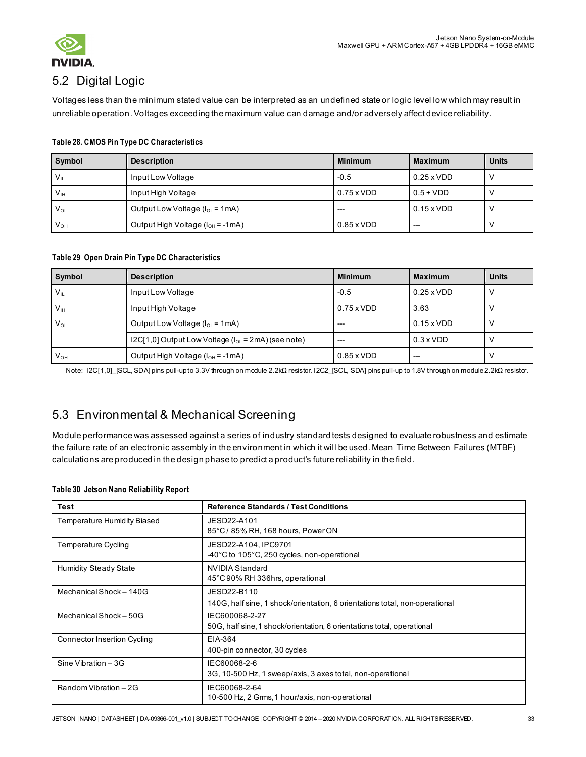

# <span id="page-32-0"></span>5.2 Digital Logic

Voltages less than the minimum stated value can be interpreted as an undefined state or logic level low which may result in unreliable operation. Voltages exceeding the maximum value can damage and/or adversely affect device reliability.

| Symbol          | <b>Description</b>                      | <b>Minimum</b>    | <b>Maximum</b>    | <b>Units</b> |
|-----------------|-----------------------------------------|-------------------|-------------------|--------------|
| $V_{IL}$        | Input Low Voltage                       | $-0.5$            | $0.25 \times VDD$ |              |
| V <sub>IH</sub> | Input High Voltage                      | $0.75 \times VDD$ | $0.5 + VDD$       |              |
| $V_{O1}$        | Output Low Voltage ( $I_{OL}$ = 1mA)    | $--$              | $0.15 \times VDD$ |              |
| $V_{OH}$        | Output High Voltage ( $I_{OH}$ = -1 mA) | $0.85 \times VDD$ | $--$              |              |

#### **Table 28. CMOS Pin Type DC Characteristics**

#### **Table 29 Open Drain Pin Type DC Characteristics**

| Symbol          | <b>Description</b>                                         | <b>Minimum</b>    | <b>Maximum</b>    | <b>Units</b> |
|-----------------|------------------------------------------------------------|-------------------|-------------------|--------------|
| $V_{\parallel}$ | Input Low Voltage                                          | $-0.5$            | $0.25 \times VDD$ |              |
| V <sub>IH</sub> | Input High Voltage                                         | $0.75 \times VDD$ | 3.63              |              |
| $V_{OL}$        | Output Low Voltage ( $I_{OL}$ = 1mA)                       |                   | $0.15 \times VDD$ |              |
|                 | $12C[1,0]$ Output Low Voltage ( $I_{OL}$ = 2mA) (see note) |                   | $0.3 \times VDD$  |              |
| $V_{OH}$        | Output High Voltage ( $I_{OH}$ = -1 mA)                    | $0.85 \times VDD$ |                   |              |

Note: I2C[1,0]\_[SCL, SDA] pins pull-up to 3.3V through on module 2.2kΩ resistor. I2C2\_[SCL, SDA] pins pull-up to 1.8V through on module 2.2kΩ resistor.

# 5.3 Environmental & Mechanical Screening

Module performance was assessed against a series of industry standard tests designed to evaluate robustness and estimate the failure rate of an electronic assembly in the environment in which it will be used. Mean Time Between Failures (MTBF) calculations are produced in the design phase to predict a product's future reliability in the field.

#### **Table 30 Jetson Nano Reliability Report**

| Test                               | <b>Reference Standards / Test Conditions</b>                                               |
|------------------------------------|--------------------------------------------------------------------------------------------|
| Temperature Humidity Biased        | JESD22-A101<br>85°C / 85% RH, 168 hours, Power ON                                          |
| Temperature Cycling                | JESD22-A104, IPC9701<br>-40°C to 105°C, 250 cycles, non-operational                        |
| <b>Humidity Steady State</b>       | <b>NVIDIA Standard</b><br>45°C 90% RH 336hrs, operational                                  |
| Mechanical Shock - 140G            | JESD22-B110<br>140G, half sine, 1 shock/orientation, 6 orientations total, non-operational |
| Mechanical Shock - 50G             | IEC600068-2-27<br>50G, half sine, 1 shock/orientation, 6 orientations total, operational   |
| <b>Connector Insertion Cycling</b> | EIA-364<br>400-pin connector, 30 cycles                                                    |
| Sine Vibration $-3G$               | IEC60068-2-6<br>3G, 10-500 Hz, 1 sweep/axis, 3 axes total, non-operational                 |
| Random Vibration - 2G              | IEC60068-2-64<br>10-500 Hz, 2 Grms, 1 hour/axis, non-operational                           |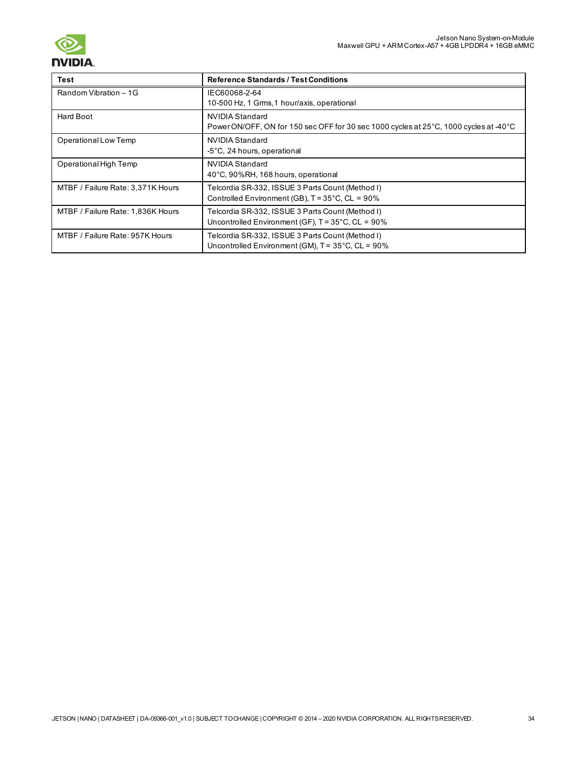

### **Test Reference Standards / Test Conditions** Random Vibration – 1G IEC60068-2-64 10-500 Hz, 1 Grms,1 hour/axis, operational Hard Boot NVIDIA Standard Power ON/OFF, ON for 150 sec OFF for 30 sec 1000 cycles at 25°C, 1000 cycles at -40°C Operational Low Temp NVIDIA Standard -5°C, 24 hours, operational Operational High Temp NVIDIA Standard 40°C, 90%RH, 168 hours, operational MTBF / Failure Rate: 3,371K Hours | Telcordia SR-332, ISSUE 3 Parts Count (Method I) Controlled Environment (GB), T = 35°C, CL = 90% MTBF / Failure Rate: 1,836K Hours | Telcordia SR-332, ISSUE 3 Parts Count (Method I) Uncontrolled Environment (GF), T = 35°C, CL = 90% MTBF / Failure Rate: 957K Hours Telcordia SR-332, ISSUE 3 Parts Count (Method I) Uncontrolled Environment (GM), T = 35°C, CL = 90%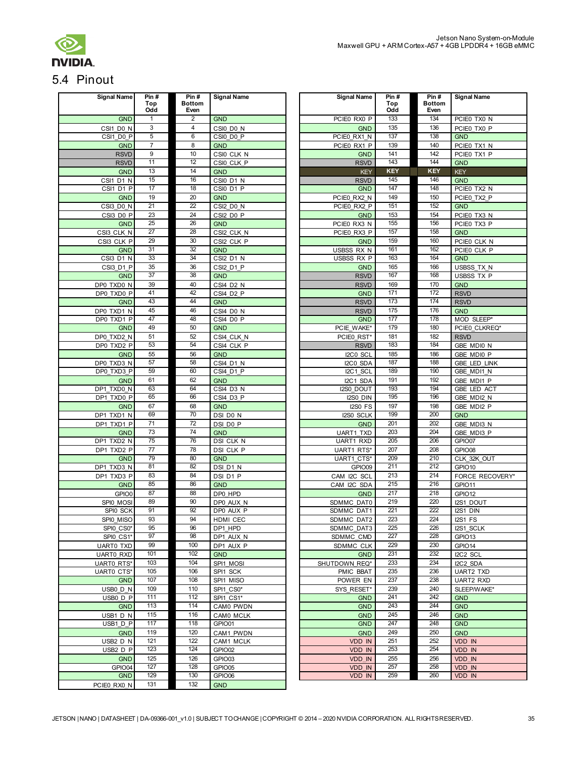

# <span id="page-34-0"></span>5.4 Pinout

| <b>Signal Name</b> | Pin #<br>Top<br>Odd | Pin#<br><b>Bottom</b><br>Even | <b>Signal Name</b>      | <b>Signal Name</b> | Pin #<br>Top<br>Odd | Pin#<br><b>Bottom</b><br>Even | <b>Signal Name</b>  |
|--------------------|---------------------|-------------------------------|-------------------------|--------------------|---------------------|-------------------------------|---------------------|
| <b>GND</b>         | $\mathbf{1}$        | 2                             | <b>GND</b>              | PCIE0 RX0 P        | 133                 | 134                           | PCIE0 TX0 N         |
| CSI1 D0 N          | 3                   | $\overline{4}$                | CSI0 D0 N               | <b>GND</b>         | 135                 | 136                           | PCIE0 TX0 P         |
| CSI1 D0 P          | 5                   | 6                             | CSI0 D0 P               | PCIE0 RX1 N        | 137                 | 138                           | <b>GND</b>          |
| <b>GND</b>         | $\overline{7}$      | 8                             | <b>GND</b>              | PCIE0 RX1 P        | 139                 | 140                           | PCIE0 TX1 N         |
| <b>RSVD</b>        | $\boldsymbol{9}$    | 10                            | CSI0 CLK N              | <b>GND</b>         | 141                 | 142                           | PCIE0 TX1 P         |
| <b>RSVD</b>        | 11                  | 12                            | CSI0 CLK P              | <b>RSVD</b>        | 143                 | 144                           | <b>GND</b>          |
| <b>GND</b>         | 13                  | 14                            | <b>GND</b>              | <b>KEY</b>         | <b>KEY</b>          | <b>KEY</b>                    | <b>KEY</b>          |
| CSI1 D1 N          | 15                  | 16                            | CSI0 D1 N               | <b>RSVD</b>        | 145                 | 146                           | <b>GND</b>          |
| CSI1 D1 P          | 17                  | 18                            | CSI0 D1 P               | <b>GND</b>         | 147                 | 148                           | PCIE0 TX2 N         |
| <b>GND</b>         | 19                  | 20                            | <b>GND</b>              | PCIE0 RX2 N        | 149                 | 150                           | PCIE0 TX2 P         |
| CSI3 D0 N          | 21                  | 22                            | CSI2 D0 N               | PCIE0 RX2 P        | 151                 | 152                           | <b>GND</b>          |
| CSI3 D0 P          | 23                  | 24                            | CSI2 D0 P               | <b>GND</b>         | 153                 | 154                           | PCIE0 TX3 N         |
| <b>GND</b>         | 25                  | 26                            | <b>GND</b>              | PCIE0 RX3 N        | 155                 | 156                           | PCIE0 TX3 P         |
| CSI3 CLK N         | 27                  | 28                            | CSI2 CLK N              | PCIE0 RX3 P        | 157                 | 158                           | <b>GND</b>          |
| CSI3 CLK P         | 29                  | 30                            | CSI2 CLK P              | <b>GND</b>         | 159                 | 160                           | PCIE0 CLK N         |
| <b>GND</b>         | 31                  | 32                            | <b>GND</b>              | USBSS RX N         | 161                 | 162                           | PCIE0 CLK P         |
| CSI3 D1 N          | 33                  | 34                            | <b>CSI2 D1 N</b>        | USBSS RX P         | 163                 | 164                           | <b>GND</b>          |
| CSI3 D1 P          | 35                  | 36                            | CSI2 D1 P               | <b>GND</b>         | 165                 | 166                           | USBSS TX N          |
| <b>GND</b>         | 37                  | 38                            | <b>GND</b>              | <b>RSVD</b>        | 167                 | 168                           | <b>USBSS TX P</b>   |
| DP0 TXD0 N         | 39                  | 40                            | CSI4 D2 N               | <b>RSVD</b>        | 169                 | 170                           | <b>GND</b>          |
| DP0 TXD0 P         | 41                  | 42                            | CSI4 D <sub>2</sub> P   | <b>GND</b>         | 171                 | 172                           | <b>RSVD</b>         |
| <b>GND</b>         | 43                  | 44                            | <b>GND</b>              | <b>RSVD</b>        | 173                 | 174                           | <b>RSVD</b>         |
| DP0 TXD1 N         | 45                  | 46                            | CSI4 D0 N               | <b>RSVD</b>        | 175                 | 176                           | <b>GND</b>          |
| DP0 TXD1 P         | 47                  | 48                            | CSI4 D0 P               | <b>GND</b>         | 177                 | 178                           | MOD SLEEP*          |
| <b>GND</b>         | 49                  | 50                            | <b>GND</b>              | PCIE WAKE*         | 179                 | 180                           | PCIE0 CLKREQ*       |
| DP0 TXD2 N         | 51                  | 52                            | CSI4 CLK N              | PCIE0 RST*         | 181                 | 182                           | <b>RSVD</b>         |
| DP0 TXD2 P         | 53                  | 54                            | CSI4 CLK P              | <b>RSVD</b>        | 183                 | 184                           | GBE MDI0 N          |
| <b>GND</b>         | 55                  | 56                            | <b>GND</b>              | I2C0 SCL           | 185                 | 186                           | GBE MDI0 P          |
| DP0 TXD3 N         | 57                  | 58                            | <b>CSI4 D1 N</b>        | I2C0 SDA           | 187                 | 188                           | <b>GBE LED LINK</b> |
| DP0 TXD3 P         | 59                  | 60                            | CSI4 D1 P               | I2C1 SCL           | 189                 | 190                           | GBE MDI1 N          |
| <b>GND</b>         | 61                  | 62                            | <b>GND</b>              | I2C1 SDA           | 191                 | 192                           | GBE MDI1 P          |
| DP1 TXD0 N         | 63                  | 64                            | $\overline{CS}$ I4 D3 N | I2S0 DOUT          | 193                 | 194                           | GBE LED ACT         |
| DP1 TXD0 P         | 65                  | 66                            | CSI4 D3 P               | I2S0 DIN           | 195                 | 196                           | GBE MDI2 N          |
| <b>GND</b>         | 67                  | 68                            | <b>GND</b>              | <b>I2S0 FS</b>     | 197                 | 198                           | GBE MDI2 P          |
| DP1 TXD1 N         | 69                  | 70                            | DSI D0 N                | I2S0 SCLK          | 199                 | 200                           | <b>GND</b>          |
| DP1 TXD1 P         | 71                  | $\overline{72}$               | DSI D0 P                | <b>GND</b>         | 201                 | 202                           | GBE MDI3 N          |
| <b>GND</b>         | 73                  | 74                            | <b>GND</b>              | UART1 TXD          | 203                 | 204                           | GBE MDI3 P          |
| DP1 TXD2 N         | 75                  | 76                            | DSI CLK N               | UART1 RXD          | 205                 | 206                           | GPIO07              |
| DP1 TXD2 P         | 77                  | 78                            | DSI CLK P               | UART1 RTS*         | 207                 | 208                           | GPIO08              |
| <b>GND</b>         | 79                  | 80                            | <b>GND</b>              | UART1 CTS*         | 209                 | 210                           | CLK 32K OUT         |
| DP1 TXD3 N         | 81                  | 82                            | DSI D1 N                | GPIO09             | 211                 | 212                           | GPIO10              |
| DP1 TXD3 P         | 83                  | 84                            | DSI D1 P                | CAM I2C SCL        | 213                 | 214                           | FORCE RECOVERY*     |
| <b>GND</b>         | 85                  | 86                            | <b>GND</b>              | CAM I2C SDA        | 215                 | 216                           | GPIO11              |
| GPIO0              | 87                  | 88                            | DP0 HPD                 | <b>GND</b>         | 217                 | 218                           | GPIO12              |
| SPI0 MOSI          | 89                  | 90                            | DP0 AUX N               | SDMMC DAT0         | 219                 | 220                           | I2S1 DOUT           |
| SPI0 SCK           | 91                  | 92                            | DP0 AUX P               | SDMMC DAT1         | 221                 | 222                           | I2S1 DIN            |
| SPI0 MISO          | 93                  | 94                            | HDMI CEC                | SDMMC DAT2         | 223                 | 224                           | <b>I2S1 FS</b>      |
| SPIO CS0*          | 95                  | 96                            | DP1 HPD                 | SDMMC DAT3         | 225                 | 226                           | I2S1 SCLK           |
| SPI0 CS1*          | 97                  | 98                            | DP1 AUX N               | SDMMC CMD          | 227                 | 228                           | GPIO <sub>13</sub>  |
| <b>UARTO TXD</b>   | 99                  | 100                           | DP1 AUX P               | SDMMC CLK          | 229                 | 230                           | GPIO14              |
| <b>UARTO RXD</b>   | 101                 | 102                           | <b>GND</b>              | <b>GND</b>         | 231                 | 232                           | I2C2 SCL            |
| UART0 RTS*         | 103                 | 104                           | SPI1 MOSI               | SHUTDOWN REQ*      | 233                 | 234                           | I2C2 SDA            |
| UART0 CTS*         | 105<br>107          | 106                           | SPI1 SCK                | PMIC BBAT          | 235                 | 236                           | <b>UART2 TXD</b>    |
| <b>GND</b>         | 109                 | 108                           | SPI1 MISO               | POWER EN           | 237<br>239          | 238                           | <b>UART2 RXD</b>    |
| USB0 D N           |                     | 110                           | SPI1 CS0*               | SYS RESET*         |                     | 240                           | SLEEP/WAKE*         |
| USB0 D P           | 111<br>113          | 112<br>114                    | SPI1 CS1*               | <b>GND</b>         | 241<br>243          | 242<br>244                    | <b>GND</b>          |
| <b>GND</b>         |                     |                               | CAM0 PWDN               | <b>GND</b>         |                     |                               | <b>GND</b>          |
| USB1 D N           | 115                 | 116                           | CAM0 MCLK               | <b>GND</b>         | 245                 | 246                           | <b>GND</b>          |
| USB1 D P           | 117                 | 118                           | GPIO01                  | <b>GND</b>         | 247                 | 248                           | <b>GND</b>          |
| <b>GND</b>         | 119<br>121          | 120<br>122                    | CAM1 PWDN               | <b>GND</b>         | 249<br>251          | 250<br>252                    | <b>GND</b>          |
| USB2 D N           | 123                 | 124                           | CAM1 MCLK               | <b>VDD IN</b>      | 253                 | 254                           | VDD IN              |
| USB2 D P           | 125                 |                               | GPIO02                  | <b>VDD IN</b>      |                     |                               | <b>VDD IN</b>       |
| <b>GND</b>         | 127                 | 126<br>128                    | GPIO03                  | <b>VDD IN</b>      | 255<br>257          | 256<br>258                    | <b>VDD IN</b>       |
| GPIO04             | 129                 | 130                           | GPIO05                  | VDD IN             | 259                 | 260                           | VDD IN              |
| <b>GND</b>         |                     |                               | GPIO06                  | VDD IN             |                     |                               | VDD IN              |
| PCIE0 RX0 N        | 131                 | 132                           | <b>GND</b>              |                    |                     |                               |                     |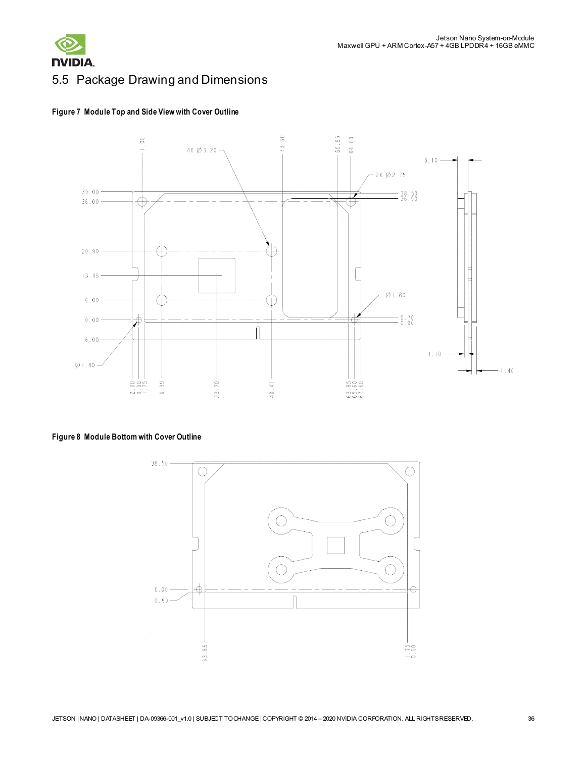

# <span id="page-35-0"></span>5.5 Package Drawing and Dimensions





### **Figure 8 Module Bottom with Cover Outline**

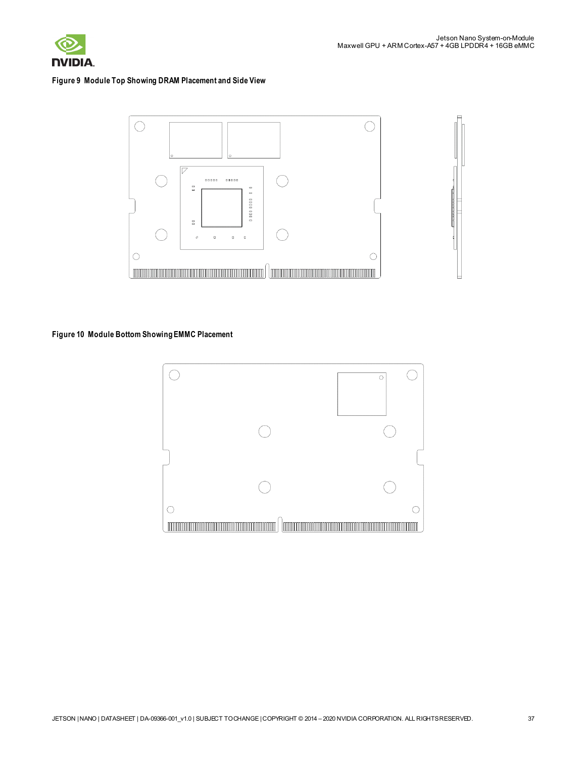

#### **Figure 9 Module Top Showing DRAM Placement and Side View**



#### **Figure 10 Module Bottom Showing EMMC Placement**